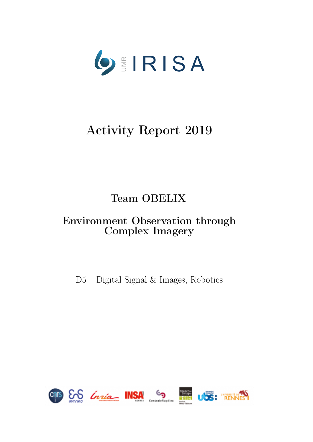<span id="page-0-0"></span>

# Activity Report 2019

# Team OBELIX

# Environment Observation through Complex Imagery

D5 – Digital Signal & Images, Robotics

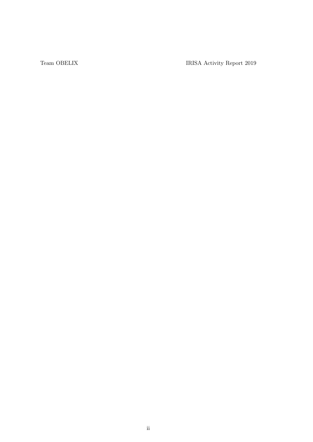Team OBELIX IRISA Activity Report 2019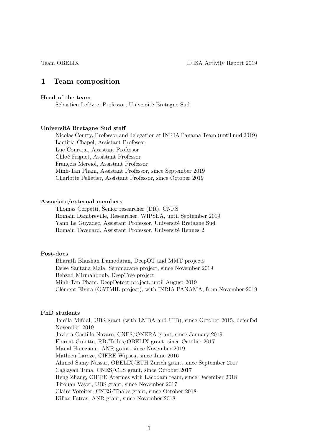# 1 Team composition

### Head of the team

Sébastien Lefèvre, Professor, Université Bretagne Sud

### Université Bretagne Sud staff

Nicolas Courty, Professor and delegation at INRIA Panama Team (until mid 2019) Laetitia Chapel, Assistant Professor Luc Courtrai, Assistant Professor Chloé Friguet, Assistant Professor François Merciol, Assistant Professor Minh-Tan Pham, Assistant Professor, since September 2019 Charlotte Pelletier, Assistant Professor, since October 2019

### Associate/external members

Thomas Corpetti, Senior researcher (DR), CNRS Romain Dambreville, Researcher, WIPSEA, until September 2019 Yann Le Guyadec, Assistant Professor, Université Bretagne Sud Romain Tavenard, Assistant Professor, Université Rennes 2

### Post-docs

Bharath Bhushan Damodaran, DeepOT and MMT projects Deise Santana Maia, Semmacape project, since November 2019 Behzad Mirmahboub, DeepTree project Minh-Tan Pham, DeepDetect project, until August 2019 Clément Elvira (OATMIL project), with INRIA PANAMA, from November 2019

### PhD students

Jamila Mifdal, UBS grant (with LMBA and UIB), since October 2015, defenfed November 2019 Javiera Castillo Navaro, CNES/ONERA grant, since January 2019 Florent Guiotte, RB/Tellus/OBELIX grant, since October 2017 Manal Hamzaoui, ANR grant, since November 2019 Mathieu Laroze, CIFRE Wipsea, since June 2016 Ahmed Samy Nassar, OBELIX/ETH Zurich grant, since September 2017 Caglayan Tuna, CNES/CLS grant, since October 2017 Heng Zhang, CIFRE Atermes with Lacodam team, since December 2018 Titouan Vayer, UBS grant, since November 2017 Claire Voreiter, CNES/Thalès grant, since October 2018 Kilian Fatras, ANR grant, since November 2018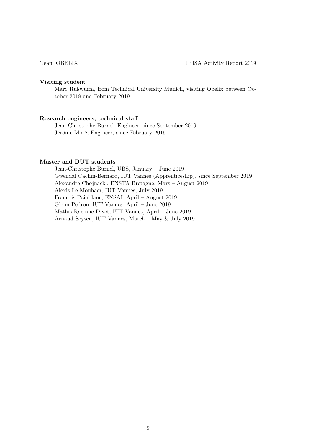### Visiting student

Marc Rußwurm, from Technical University Munich, visiting Obelix between October 2018 and February 2019

# Research engineers, technical staff

Jean-Christophe Burnel, Engineer, since September 2019 Jérôme Moré, Engineer, since February 2019

### Master and DUT students

Jean-Christophe Burnel, UBS, January – June 2019 Gwendal Cachin-Bernard, IUT Vannes (Apprenticeship), since September 2019 Alexandre Chojnacki, ENSTA Bretagne, Mars – August 2019 Alexis Le Mouhaer, IUT Vannes, July 2019 Francois Painblanc, ENSAI, April – August 2019 Glenn Pedron, IUT Vannes, April – June 2019 Mathis Racinne-Divet, IUT Vannes, April – June 2019 Arnaud Seysen, IUT Vannes, March – May & July 2019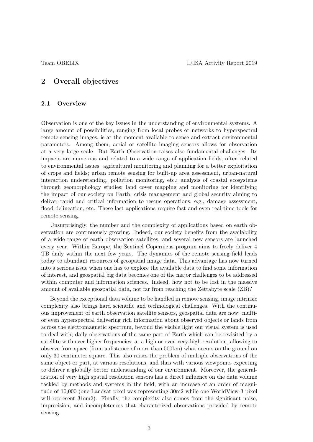# 2 Overall objectives

# 2.1 Overview

Observation is one of the key issues in the understanding of environmental systems. A large amount of possibilities, ranging from local probes or networks to hyperspectral remote sensing images, is at the moment available to sense and extract environmental parameters. Among them, aerial or satellite imaging sensors allows for observation at a very large scale. But Earth Observation raises also fundamental challenges. Its impacts are numerous and related to a wide range of application fields, often related to environmental issues: agricultural monitoring and planning for a better exploitation of crops and fields; urban remote sensing for built-up area assessment, urban-natural interaction understanding, pollution monitoring, etc.; analysis of coastal ecosystems through geomorphology studies; land cover mapping and monitoring for identifying the impact of our society on Earth; crisis management and global security aiming to deliver rapid and critical information to rescue operations, e.g., damage assessment, flood delineation, etc. These last applications require fast and even real-time tools for remote sensing.

Unsurprisingly, the number and the complexity of applications based on earth observation are continuously growing. Indeed, our society benefits from the availability of a wide range of earth observation satellites, and several new sensors are launched every year. Within Europe, the Sentinel Copernicus program aims to freely deliver 4 TB daily within the next few years. The dynamics of the remote sensing field leads today to abundant resources of geospatial image data. This advantage has now turned into a serious issue when one has to explore the available data to find some information of interest, and geospatial big data becomes one of the major challenges to be addressed within computer and information sciences. Indeed, how not to be lost in the massive amount of available geospatial data, not far from reaching the Zettabyte scale (ZB)?

Beyond the exceptional data volume to be handled in remote sensing, image intrinsic complexity also brings hard scientific and technological challenges. With the continuous improvement of earth observation satellite sensors, geospatial data are now: multior even hyperspectral delivering rich information about observed objects or lands from across the electromagnetic spectrum, beyond the visible light our visual system is used to deal with; daily observations of the same part of Earth which can be revisited by a satellite with ever higher frequencies; at a high or even very-high resolution, allowing to observe from space (from a distance of more than 500km) what occurs on the ground on only 30 centimeter square. This also raises the problem of multiple observations of the same object or part, at various resolutions, and thus with various viewpoints expecting to deliver a globally better understanding of our environment. Moreover, the generalization of very high spatial resolution sensors has a direct influence on the data volume tackled by methods and systems in the field, with an increase of an order of magnitude of 10,000 (one Landsat pixel was representing 30m2 while one WorldView-3 pixel will represent 31cm2). Finally, the complexity also comes from the significant noise, imprecision, and incompleteness that characterized observations provided by remote sensing.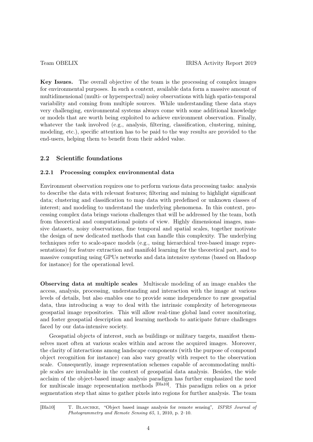Key Issues. The overall objective of the team is the processing of complex images for environmental purposes. In such a context, available data form a massive amount of multidimensional (multi- or hyperspectral) noisy observations with high spatio-temporal variability and coming from multiple sources. While understanding these data stays very challenging, environmental systems always come with some additional knowledge or models that are worth being exploited to achieve environment observation. Finally, whatever the task involved (e.g., analysis, filtering, classification, clustering, mining, modeling, etc.), specific attention has to be paid to the way results are provided to the end-users, helping them to benefit from their added value.

# 2.2 Scientific foundations

# 2.2.1 Processing complex environmental data

Environment observation requires one to perform various data processing tasks: analysis to describe the data with relevant features; filtering and mining to highlight significant data; clustering and classification to map data with predefined or unknown classes of interest; and modeling to understand the underlying phenomena. In this context, processing complex data brings various challenges that will be addressed by the team, both from theoretical and computational points of view. Highly dimensional images, massive datasets, noisy observations, fine temporal and spatial scales, together motivate the design of new dedicated methods that can handle this complexity. The underlying techniques refer to scale-space models (e.g., using hierarchical tree-based image representations) for feature extraction and manifold learning for the theoretical part, and to massive computing using GPUs networks and data intensive systems (based on Hadoop for instance) for the operational level.

Observing data at multiple scales Multiscale modeling of an image enables the access, analysis, processing, understanding and interaction with the image at various levels of details, but also enables one to provide some independence to raw geospatial data, thus introducing a way to deal with the intrinsic complexity of heterogeneous geospatial image repositories. This will allow real-time global land cover monitoring, and foster geospatial description and learning methods to anticipate future challenges faced by our data-intensive society.

Geospatial objects of interest, such as buildings or military targets, manifest themselves most often at various scales within and across the acquired images. Moreover, the clarity of interactions among landscape components (with the purpose of compound object recognition for instance) can also vary greatly with respect to the observation scale. Consequently, image representation schemes capable of accommodating multiple scales are invaluable in the context of geospatial data analysis. Besides, the wide acclaim of the object-based image analysis paradigm has further emphasized the need for multiscale image representation methods [Bla10]. This paradigm relies on a prior segmentation step that aims to gather pixels into regions for further analysis. The team

<sup>[</sup>Bla10] T. BLASCHKE, "Object based image analysis for remote sensing", ISPRS Journal of Photogrammetry and Remote Sensing 65, 1, 2010, p. 2–10.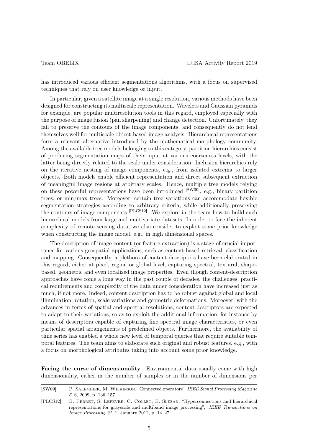has introduced various efficient segmentations algorithms, with a focus on supervised techniques that rely on user knowledge or input.

In particular, given a satellite image at a single resolution, various methods have been designed for constructing its multiscale representation. Wavelets and Gaussian pyramids for example, are popular multiresolution tools in this regard, employed especially with the purpose of image fusion (pan sharpening) and change detection. Unfortunately, they fail to preserve the contours of the image components, and consequently do not lend themselves well for multiscale object-based image analysis. Hierarchical representations form a relevant alternative introduced by the mathematical morphology community. Among the available tree models belonging to this category, partition hierarchies consist of producing segmentation maps of their input at various coarseness levels, with the latter being directly related to the scale under consideration. Inclusion hierarchies rely on the iterative nesting of image components, e.g., from isolated extrema to larger objects. Both models enable efficient representation and direct subsequent extraction of meaningful image regions at arbitrary scales. Hence, multiple tree models relying on these powerful representations have been introduced [SW09], e.g., binary partition trees, or min/max trees. Moreover, certain tree variations can accommodate flexible segmentation strategies according to arbitrary criteria, while additionally preserving the contours of image components [PLCS12]. We explore in the team how to build such hierarchical models from large and multivariate datasets. In order to face the inherent complexity of remote sensing data, we also consider to exploit some prior knowledge when constructing the image model, e.g., in high dimensional spaces.

The description of image content (or feature extraction) is a stage of crucial importance for various geospatial applications, such as content-based retrieval, classification and mapping. Consequently, a plethora of content descriptors have been elaborated in this regard, either at pixel, region or global level, capturing spectral, textural, shapebased, geometric and even localized image properties. Even though content-description approaches have come a long way in the past couple of decades, the challenges, practical requirements and complexity of the data under consideration have increased just as much, if not more. Indeed, content description has to be robust against global and local illumination, rotation, scale variations and geometric deformations. Moreover, with the advances in terms of spatial and spectral resolutions, content descriptors are expected to adapt to their variations, so as to exploit the additional information; for instance by means of descriptors capable of capturing fine spectral image characteristics, or even particular spatial arrangements of predefined objects. Furthermore, the availability of time series has enabled a whole new level of temporal queries that require suitable temporal features. The team aims to elaborate such original and robust features, e.g., with a focus on morphological attributes taking into account some prior knowledge.

Facing the curse of dimensionality Environmental data usually come with high dimensionality, either in the number of samples or in the number of dimensions per

<sup>[</sup>SW09] P. Salembier, M. Wilkinson, "Connected operators", IEEE Signal Processing Magazine 6, 6, 2009, p. 136–157. [PLCS12] B. Perret, S. Lefèvre, C. Collet, E. Slezak, "Hyperconnections and hierarchical

representations for grayscale and multiband image processing", IEEE Transactions on Image Processing 21, 1, January 2012, p. 14–27.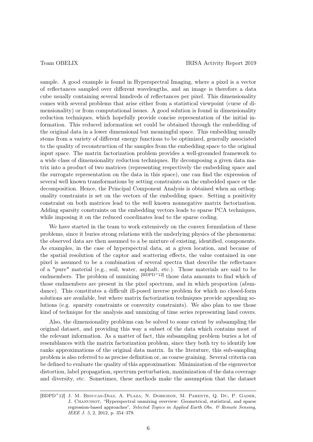sample. A good example is found in Hyperspectral Imaging, where a pixel is a vector of reflectances sampled over different wavelengths, and an image is therefore a data cube usually containing several hundreds of reflectances per pixel. This dimensionality comes with several problems that arise either from a statistical viewpoint (curse of dimensionality) or from computational issues. A good solution is found in dimensionality reduction techniques, which hopefully provide concise representation of the initial information. This reduced information set could be obtained through the embedding of the original data in a lower dimensional but meaningful space. This embedding usually stems from a variety of different energy functions to be optimized, generally associated to the quality of reconstruction of the samples from the embedding space to the original input space. The matrix factorization problem provides a well-grounded framework to a wide class of dimensionality reduction techniques. By decomposing a given data matrix into a product of two matrices (representing respectively the embedding space and the surrogate representation on the data in this space), one can find the expression of several well known transformations by setting constraints on the embedded space or the decomposition. Hence, the Principal Component Analysis is obtained when an orthogonality constraints is set on the vectors of the embedding space. Setting a positivity constraint on both matrices lead to the well known nonnegative matrix factorization. Adding sparsity constraints on the embedding vectors leads to sparse PCA techniques, while imposing it on the reduced coordinates lead to the sparse coding.

We have started in the team to work extensively on the convex formulation of these problems, since it buries strong relations with the underlying physics of the phenomena: the observed data are then assumed to a be mixture of existing, identified, components. As examples, in the case of hyperspectral data, at a given location, and because of the spatial resolution of the captor and scattering effects, the value contained in one pixel is assumed to be a combination of several spectra that describe the reflectance of a "pure" material (e.g., soil, water, asphalt, etc.). Those materials are said to be endmembers. The problem of unmixing  $[BDPD+12]$  those data amounts to find which of those endmembers are present in the pixel spectrum, and in which proportion (abundance). This constitutes a difficult ill-posed inverse problem for which no closed-form solutions are available, but where matrix factorization techniques provide appealing solutions (e.g. sparsity constraints or convexity constraints). We also plan to use those kind of technique for the analysis and unmixing of time series representing land covers.

Also, the dimensionality problems can be solved to some extent by subsampling the original dataset, and providing this way a subset of the data which contains most of the relevant information. As a matter of fact, this subsampling problem buries a lot of resemblances with the matrix factorization problem, since they both try to identify low ranks approximations of the original data matrix. In the literature, this sub-sampling problem is also referred to as precise definition or, as coarse graining. Several criteria can be defined to evaluate the quality of this approximation: Minimization of the eigenvector distortion, label propagation, spectrum perturbation, maximization of the data coverage and diversity, etc. Sometimes, these methods make the assumption that the dataset

<sup>[</sup>BDPD<sup>+</sup>12] J. M. Bioucas-Dias, A. Plaza, N. Dobigeon, M. Parente, Q. Du, P. Gader, J. Chanussot, "Hyperspectral unmixing overview: Geometrical, statistical, and sparse regression-based approaches", Selected Topics in Applied Earth Obs. & Remote Sensing, IEEE J. 5, 2, 2012, p. 354-379.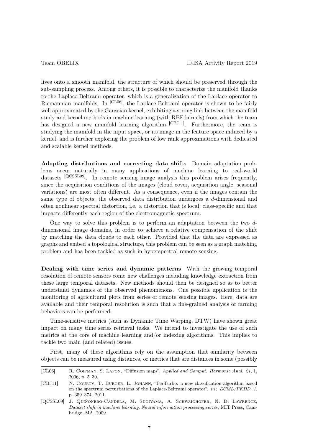lives onto a smooth manifold, the structure of which should be preserved through the sub-sampling process. Among others, it is possible to characterize the manifold thanks to the Laplace-Beltrami operator, which is a generalization of the Laplace operator to Riemannian manifolds. In <sup>[CL06]</sup>, the Laplace-Beltrami operator is shown to be fairly well approximated by the Gaussian kernel, exhibiting a strong link between the manifold study and kernel methods in machine learning (with RBF kernels) from which the team has designed a new manifold learning algorithm <sup>[CBJ11]</sup>. Furthermore, the team is studying the manifold in the input space, or its image in the feature space induced by a kernel, and is further exploring the problem of low rank approximations with dedicated and scalable kernel methods.

Adapting distributions and correcting data shifts Domain adaptation problems occur naturally in many applications of machine learning to real-world datasets [QCSSL09]. In remote sensing image analysis this problem arises frequently, since the acquisition conditions of the images (cloud cover, acquisition angle, seasonal variations) are most often different. As a consequence, even if the images contain the same type of objects, the observed data distribution undergoes a d-dimensional and often nonlinear spectral distortion, i.e. a distortion that is local, class-specific and that impacts differently each region of the electromagnetic spectrum.

One way to solve this problem is to perform an adaptation between the two ddimensional image domains, in order to achieve a relative compensation of the shift by matching the data clouds to each other. Provided that the data are expressed as graphs and embed a topological structure, this problem can be seen as a graph matching problem and has been tackled as such in hyperspectral remote sensing.

Dealing with time series and dynamic patterns With the growing temporal resolution of remote sensors come new challenges including knowledge extraction from these large temporal datasets. New methods should then be designed so as to better understand dynamics of the observed phenomenons. One possible application is the monitoring of agricultural plots from series of remote sensing images. Here, data are available and their temporal resolution is such that a fine-grained analysis of farming behaviors can be performed.

Time-sensitive metrics (such as Dynamic Time Warping, DTW) have shown great impact on many time series retrieval tasks. We intend to investigate the use of such metrics at the core of machine learning and/or indexing algorithms. This implies to tackle two main (and related) issues.

First, many of these algorithms rely on the assumption that similarity between objects can be measured using distances, or metrics that are distances in some (possibly

| [CL06] | R. COIFMAN, S. LAFON, "Diffusion maps", Applied and Comput. Harmonic Anal. 21, 1, |  |  |
|--------|-----------------------------------------------------------------------------------|--|--|
|        | $2006$ , p. $5-30$ .                                                              |  |  |

- [CBJ11] N. Courty, T. Burger, L. Johann, "PerTurbo: a new classification algorithm based on the spectrum perturbations of the Laplace-Beltrami operator", in : ECML/PKDD, 1, p. 359–374, 2011.
- [QCSSL09] J. Quiñonero-Candela, M. Sugiyama, A. Schwaighofer, N. D. Lawrence, Dataset shift in machine learning, Neural information processing series, MIT Press, Cambridge, MA, 2009.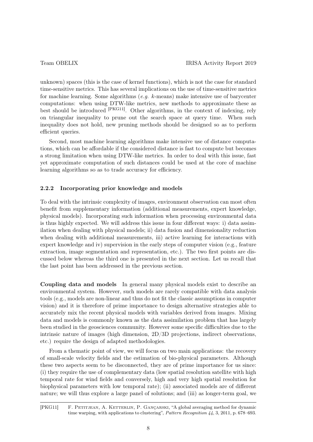unknown) spaces (this is the case of kernel functions), which is not the case for standard time-sensitive metrics. This has several implications on the use of time-sensitive metrics for machine learning. Some algorithms  $(e, q, k$ -means) make intensive use of barycenter computations: when using DTW-like metrics, new methods to approximate these as best should be introduced [PKG11]. Other algorithms, in the context of indexing, rely on triangular inequality to prune out the search space at query time. When such inequality does not hold, new pruning methods should be designed so as to perform efficient queries.

Second, most machine learning algorithms make intensive use of distance computations, which can be affordable if the considered distance is fast to compute but becomes a strong limitation when using DTW-like metrics. In order to deal with this issue, fast yet approximate computation of such distances could be used at the core of machine learning algorithms so as to trade accuracy for efficiency.

### 2.2.2 Incorporating prior knowledge and models

To deal with the intrinsic complexity of images, environment observation can most often benefit from supplementary information (additional measurements, expert knowledge, physical models). Incorporating such information when processing environmental data is thus highly expected. We will address this issue in four different ways: i) data assimilation when dealing with physical models; ii) data fusion and dimensionality reduction when dealing with additional measurements, iii) active learning for interactions with expert knowledge and iv) supervision in the early steps of computer vision (e.g., feature extraction, image segmentation and representation, etc.). The two first points are discussed below whereas the third one is presented in the next section. Let us recall that the last point has been addressed in the previous section.

Coupling data and models In general many physical models exist to describe an environmental system. However, such models are rarely compatible with data analysis tools (e.g., models are non-linear and thus do not fit the classic assumptions in computer vision) and it is therefore of prime importance to design alternative strategies able to accurately mix the recent physical models with variables derived from images. Mixing data and models is commonly known as the data assimilation problem that has largely been studied in the geosciences community. However some specific difficulties due to the intrinsic nature of images (high dimension, 2D/3D projections, indirect observations, etc.) require the design of adapted methodologies.

From a thematic point of view, we will focus on two main applications: the recovery of small-scale velocity fields and the estimation of bio-physical parameters. Although these two aspects seem to be disconnected, they are of prime importance for us since: (i) they require the use of complementary data (low spatial resolution satellite with high temporal rate for wind fields and conversely, high and very high spatial resolution for biophysical parameters with low temporal rate); (ii) associated models are of different nature; we will thus explore a large panel of solutions; and (iii) as longer-term goal, we

<sup>[</sup>PKG11] F. Petitjean, A. Ketterlin, P. Gançarski, "A global averaging method for dynamic time warping, with applications to clustering", Pattern Recognition 44, 3, 2011, p. 678-693.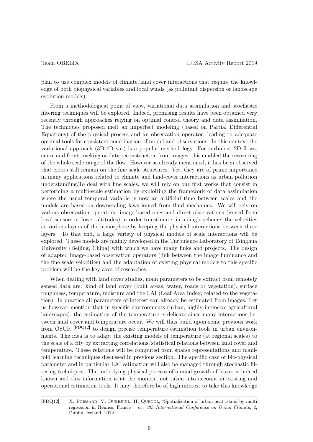plan to use complex models of climate/land cover interactions that require the knowledge of both biophysical variables and local winds (as pollutant dispersion or landscape evolution models).

From a methodological point of view, variational data assimilation and stochastic filtering techniques will be explored. Indeed, promising results have been obtained very recently through approaches relying on optimal control theory and data assimilation. The techniques proposed melt an imperfect modeling (based on Partial Differential Equations) of the physical process and an observation operator, leading to adequate optimal tools for consistent combination of model and observations. In this context the variational approach (3D-4D var) is a popular methodology. For turbulent 2D flows, curve and front tracking or data reconstruction from images, this enabled the recovering of the whole scale range of the flow. However as already mentioned, it has been observed that errors still remain on the fine scale structures. Yet, they are of prime importance in many applications related to climate and land-cover interactions as urban pollution understanding.To deal with fine scales, we will rely on our first works that consist in performing a multi-scale estimation by exploiting the framework of data assimilation where the usual temporal variable is now an artificial time between scales and the models are based on downscaling laws issued from fluid mechanics. We will rely on various observation operators: image-based ones and direct observations (issued from local sensors at lower altitudes) in order to estimate, in a single scheme, the velocities at various layers of the atmosphere by keeping the physical interactions between these layers. To that end, a large variety of physical models of scale interactions will be explored. These models are mainly developed in the Turbulence Laboratory of Tsinghua University (Beijing, China) with which we have many links and projects. The design of adapted image-based observation operators (link between the image luminance and the fine scale velocities) and the adaptation of existing physical models to this specific problem will be the key axes of researches.

When dealing with land cover studies, main parameters to be extract from remotely sensed data are: kind of land cover (built areas, water, roads or vegetation), surface roughness, temperature, moisture and the LAI (Leaf Area Index, related to the vegetation). In practice all parameters of interest can already be estimated from images. Let us however mention that in specific environments (urban, highly intensive agricultural landscapes), the estimation of the temperature is delicate since many interactions between land cover and temperature occur. We will thus build upon some previous work from OSUR [FDQ12] to design precise temperature estimation tools in urban environments. The idea is to adapt the existing models of temperature (at regional scales) to the scale of a city by extracting correlations/statistical relations between land cover and temperature. These relations will be computed from sparse representations and manifold learning techniques discussed in previous section. The specific case of bio-physical parameter and in particular LAI estimation will also be managed through stochastic filtering techniques. The underlying physical process of annual growth of leaves is indeed known and this information is at the moment not taken into account in existing and operational estimation tools. It may therefore be of high interest to take this knowledge

<sup>[</sup>FDQ12] X. Foissard, V. Dubreuil, H. Quenol, "Spatialization of urban heat island by multi regression in Rennes, France", in: 8th International Conference on Urban Climate, 2, Dublin, Ireland, 2012.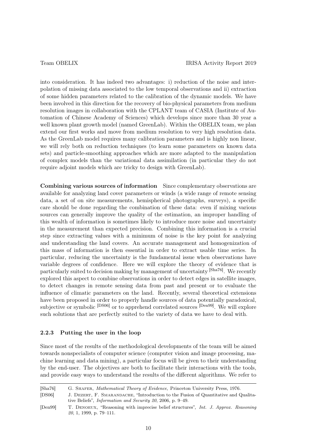into consideration. It has indeed two advantages: i) reduction of the noise and interpolation of missing data associated to the low temporal observations and ii) extraction of some hidden parameters related to the calibration of the dynamic models. We have been involved in this direction for the recovery of bio-physical parameters from medium resolution images in collaboration with the CPLANT team of CASIA (Institute of Automation of Chinese Academy of Sciences) which develops since more than 30 year a well known plant growth model (named GreenLab). Within the OBELIX team, we plan extend our first works and move from medium resolution to very high resolution data. As the GreenLab model requires many calibration parameters and is highly non linear, we will rely both on reduction techniques (to learn some parameters on known data sets) and particle-smoothing approaches which are more adapted to the manipulation of complex models than the variational data assimilation (in particular they do not require adjoint models which are tricky to design with GreenLab).

Combining various sources of information Since complementary observations are available for analyzing land cover parameters or winds (a wide range of remote sensing data, a set of on site measurements, hemispherical photographs, surveys), a specific care should be done regarding the combination of these data: even if mixing various sources can generally improve the quality of the estimation, an improper handling of this wealth of information is sometimes likely to introduce more noise and uncertainty in the measurement than expected precision. Combining this information is a crucial step since extracting values with a minimum of noise is the key point for analyzing and understanding the land covers. An accurate management and homogenization of this mass of information is then essential in order to extract usable time series. In particular, reducing the uncertainty is the fundamental issue when observations have variable degrees of confidence. Here we will explore the theory of evidence that is particularly suited to decision making by management of uncertainty [Sha76]. We recently explored this aspect to combine observations in order to detect edges in satellite images, to detect changes in remote sensing data from past and present or to evaluate the influence of climatic parameters on the land. Recently, several theoretical extensions have been proposed in order to properly handle sources of data potentially paradoxical, subjective or symbolic <sup>[DS06]</sup> or to apprehend correlated sources <sup>[Den99]</sup>. We will explore such solutions that are perfectly suited to the variety of data we have to deal with.

### 2.2.3 Putting the user in the loop

Since most of the results of the methodological developments of the team will be aimed towards nonspecialists of computer science (computer vision and image processing, machine learning and data mining), a particular focus will be given to their understanding by the end-user. The objectives are both to facilitate their interactions with the tools, and provide easy ways to understand the results of the different algorithms. We refer to

[Sha76] G. Shafer, Mathematical Theory of Evidence, Princeton University Press, 1976.

[DS06] J. Dezert, F. Smarandache, "Introduction to the Fusion of Quantitative and Qualitative Beliefs", Information and Security 20, 2006, p. 9–49.

[Den99] T. Denoeux, "Reasoning with imprecise belief structures", Int. J. Approx. Reasoning 20, 1, 1999, p. 79–111.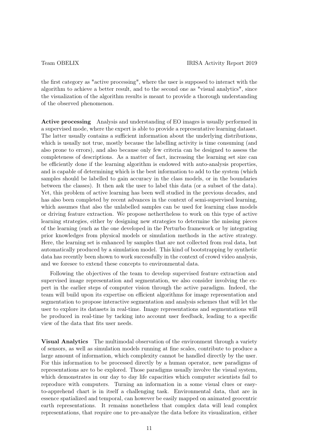the first category as "active processing", where the user is supposed to interact with the algorithm to achieve a better result, and to the second one as "visual analytics", since the visualization of the algorithm results is meant to provide a thorough understanding of the observed phenomenon.

Active processing Analysis and understanding of EO images is usually performed in a supervised mode, where the expert is able to provide a representative learning dataset. The latter usually contains a sufficient information about the underlying distributions, which is usually not true, mostly because the labelling activity is time consuming (and also prone to errors), and also because only few criteria can be designed to assess the completeness of descriptions. As a matter of fact, increasing the learning set size can be efficiently done if the learning algorithm is endowed with auto-analysis properties, and is capable of determining which is the best information to add to the system (which samples should be labelled to gain accuracy in the class models, or in the boundaries between the classes). It then ask the user to label this data (or a subset of the data). Yet, this problem of active learning has been well studied in the previous decades, and has also been completed by recent advances in the context of semi-supervised learning, which assumes that also the unlabelled samples can be used for learning class models or driving feature extraction. We propose nethertheless to work on this type of active learning strategies, either by designing new strategies to determine the missing pieces of the learning (such as the one developed in the Perturbo framework or by integrating prior knowledges from physical models or simulation methods in the active strategy. Here, the learning set is enhanced by samples that are not collected from real data, but automatically produced by a simulation model. This kind of bootstrapping by synthetic data has recently been shown to work successfully in the context of crowd video analysis, and we foresee to extend these concepts to environmental data.

Following the objectives of the team to develop supervised feature extraction and supervised image representation and segmentation, we also consider involving the expert in the earlier steps of computer vision through the active paradigm. Indeed, the team will build upon its expertise on efficient algorithms for image representation and segmentation to propose interactive segmentation and analysis schemes that will let the user to explore its datasets in real-time. Image representations and segmentations will be produced in real-time by tacking into account user feedback, leading to a specific view of the data that fits user needs.

Visual Analytics The multimodal observation of the environment through a variety of sensors, as well as simulation models running at fine scales, contribute to produce a large amount of information, which complexity cannot be handled directly by the user. For this information to be processed directly by a human operator, new paradigms of representations are to be explored. Those paradigms usually involve the visual system, which demonstrates in our day to day life capacities which computer scientists fail to reproduce with computers. Turning an information in a some visual clues or easyto-apprehend chart is in itself a challenging task. Environmental data, that are in essence spatialized and temporal, can however be easily mapped on animated geocentric earth representations. It remains nonetheless that complex data will lead complex representations, that require one to pre-analyze the data before its visualization, either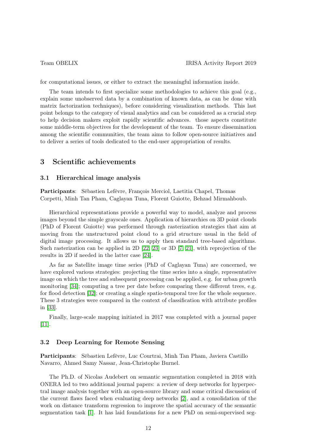for computational issues, or either to extract the meaningful information inside.

The team intends to first specialize some methodologies to achieve this goal (e.g., explain some unobserved data by a combination of known data, as can be done with matrix factorization techniques), before considering visualization methods. This last point belongs to the category of visual analytics and can be considered as a crucial step to help decision makers exploit rapidly scientific advances. those aspects constitute some middle-term objectives for the development of the team. To ensure dissemination among the scientific communities, the team aims to follow open-source initiatives and to deliver a series of tools dedicated to the end-user appropriation of results.

# 3 Scientific achievements

### 3.1 Hierarchical image analysis

Participants: Sébastien Lefèvre, François Merciol, Laetitia Chapel, Thomas Corpetti, Minh Tan Pham, Caglayan Tuna, Florent Guiotte, Behzad Mirmahboub.

Hierarchical representations provide a powerful way to model, analyze and process images beyond the simple grayscale ones. Application of hierarchies on 3D point clouds (PhD of Florent Guiotte) was performed through rasterization strategies that aim at moving from the unstructured point cloud to a grid structure usual in the field of digital image processing. It allows us to apply then standard tree-based algorithms. Such rasterization can be applied in 2D [\[22,](#page-40-0) [23\]](#page-40-1) or 3D [\[7,](#page-39-0) [21\]](#page-40-2), with reprojection of the results in 2D if needed in the latter case [\[24\]](#page-41-0).

As far as Satellite image time series (PhD of Caglayan Tuna) are concerned, we have explored various strategies: projecting the time series into a single, representative image on which the tree and subsequent processing can be applied, e.g. for urban growth monitoring [\[34\]](#page-41-1); computing a tree per date before comparing these different trees, e.g. for flood detection [\[32\]](#page-41-2); or creating a single spatio-temporal tree for the whole sequence. These 3 strategies were compared in the context of classification with attribute profiles in [\[33\]](#page-41-3).

Finally, large-scale mapping initiated in 2017 was completed with a journal paper [\[11\]](#page-39-1).

### 3.2 Deep Learning for Remote Sensing

Participants: Sébastien Lefèvre, Luc Courtrai, Minh Tan Pham, Javiera Castillo Navarro, Ahmed Samy Nassar, Jean-Christophe Burnel.

The Ph.D. of Nicolas Audebert on semantic segmentation completed in 2018 with ONERA led to two additional journal papers: a review of deep networks for hyperpectral image analysis together with an open-source library and some critical discussion of the current flaws faced when evaluating deep networks [\[2\]](#page-39-2), and a consolidation of the work on distance transform regression to improve the spatial accuracy of the semantic segmentation task [\[1\]](#page-39-3). It has laid foundations for a new PhD on semi-supervised seg-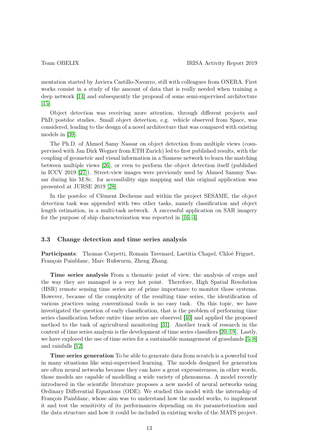mentation started by Javiera Castillo-Navarro, still with colleagues from ONERA. First works consist in a study of the amount of data that is really needed when training a deep network [\[14\]](#page-40-3) and subsequently the proposal of some semi-supervised architecture [\[15\]](#page-40-4).

Object detection was receiving more attention, through different projects and PhD/postdoc studies. Small object detection, e.g. vehicle observed from Space, was considered, leading to the design of a novel architecture that was compared with existing models in [\[39\]](#page-42-0).

The Ph.D. of Ahmed Samy Nassar on object detection from multiple views (cosupervised with Jan Dirk Wegner from ETH Zurich) led to first published results, with the coupling of geometric and visual information in a Siamese network to learn the matching between multiple views [\[26\]](#page-41-4), or even to perform the object detection itself (published in ICCV 2019 [\[27\]](#page-41-5)). Street-view images were previously used by Ahmed Sammy Nassar during his M.Sc. for accessibility sign mapping and this original application was presented at JURSE 2019 [\[28\]](#page-41-6).

In the postdoc of Clément Dechesne and within the project SESAME, the object detection task was appended with two other tasks, namely classification and object length estimation, in a multi-task network. A successful application on SAR imagery for the purpose of ship characterization was reported in [\[16,](#page-40-5) [4\]](#page-39-4).

## 3.3 Change detection and time series analysis

Participants: Thomas Corpetti, Romain Tavenard, Laetitia Chapel, Chloé Friguet, François Painblanc, Marc Rußwurm, Zheng Zhang.

Time series analysis From a thematic point of view, the analysis of crops and the way they are managed is a very hot point. Therefore, High Spatial Resolution (HSR) remote sensing time series are of prime importance to monitor those systems. However, because of the complexity of the resulting time series, the identification of various practices using conventional tools is no easy task. On this topic, we have investigated the question of early classification, that is the problem of performing time series classification before entire time series are observed [\[40\]](#page-42-1) and applied the proposed method to the task of agricultural monitoring [\[31\]](#page-41-7). Another track of research in the context of time series analysis is the development of time series classifiers [\[20,](#page-40-6) [19\]](#page-40-7). Lastly, we have explored the use of time series for a sustainable management of grasslands [\[5,](#page-39-5) [8\]](#page-39-6) and rainfalls [\[12\]](#page-39-7).

Time series generation To be able to generate data from scratch is a powerful tool in many situations like semi-supervised learning. The models designed for generation are often neural networks because they can have a great expressiveness, in other words, those models are capable of modelling a wide variety of phenomena. A model recently introduced in the scientific literature proposes a new model of neural networks using Ordinary Differential Equations (ODE). We studied this model with the internship of François Painblanc, whose aim was to understand how the model works, to implement it and test the sensitivity of its performances depending on its parameterization and the data structure and how it could be included in existing works of the MATS project.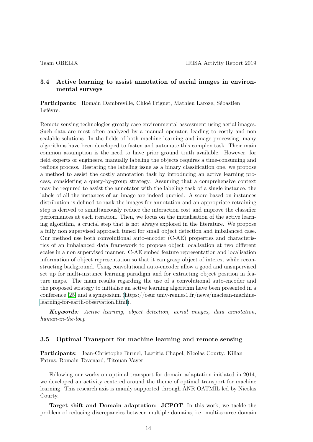# 3.4 Active learning to assist annotation of aerial images in environmental surveys

Participants: Romain Dambreville, Chloé Friguet, Mathieu Laroze, Sébastien Lefèvre.

Remote sensing technologies greatly ease environmental assessment using aerial images. Such data are most often analyzed by a manual operator, leading to costly and non scalable solutions. In the fields of both machine learning and image processing, many algorithms have been developed to fasten and automate this complex task. Their main common assumption is the need to have prior ground truth available. However, for field experts or engineers, manually labeling the objects requires a time-consuming and tedious process. Restating the labeling issue as a binary classification one, we propose a method to assist the costly annotation task by introducing an active learning process, considering a query-by-group strategy. Assuming that a comprehensive context may be required to assist the annotator with the labeling task of a single instance, the labels of all the instances of an image are indeed queried. A score based on instances distribution is defined to rank the images for annotation and an appropriate retraining step is derived to simultaneously reduce the interaction cost and improve the classifier performances at each iteration. Then, we focus on the initialisation of the active learning algorithm, a crucial step that is not always explored in the literature. We propose a fully non supervised approach tuned for small object detection and imbalanced case. Our method use both convolutional auto-encoder (C-AE) properties and characteristics of an imbalanced data framework to propose object localisation at two different scales in a non supervised manner. C-AE embed feature representation and localisation information of object representation so that it can grasp object of interest while reconstructing background. Using convolutional auto-encoder allow a good and unsupervised set up for multi-instance learning paradigm and for extracting object position in feature maps. The main results regarding the use of a convolutional auto-encoder and the proposed strategy to initialise an active learning algorithm have been presented in a conference [\[25\]](#page-41-8) and a symposium [\(https://osur.univ-rennes1.fr/news/maclean-machine](#page-0-0)[learning-for-earth-observation.html\)](#page-0-0).

Keywords: Active learning, object detection, aerial images, data annotation, human-in-the-loop

### 3.5 Optimal Transport for machine learning and remote sensing

Participants: Jean-Christophe Burnel, Laetitia Chapel, Nicolas Courty, Kilian Fatras, Romain Tavenard, Titouan Vayer.

Following our works on optimal transport for domain adaptation initiated in 2014, we developed an activity centered around the theme of optimal transport for machine learning. This research axis is mainly supported through ANR OATMIL led by Nicolas Courty.

Target shift and Domain adaptation: JCPOT. In this work, we tackle the problem of reducing discrepancies between multiple domains, i.e. multi-source domain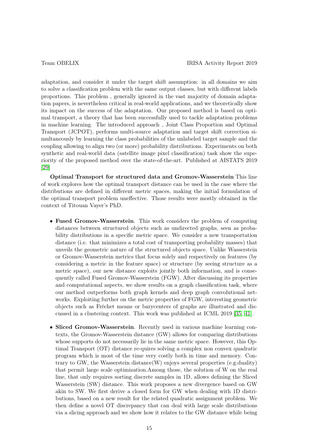adaptation, and consider it under the target shift assumption: in all domains we aim to solve a classification problem with the same output classes, but with different labels proportions. This problem , generally ignored in the vast majority of domain adaptation papers, is nevertheless critical in real-world applications, and we theoretically show its impact on the success of the adaptation. Our proposed method is based on optimal transport, a theory that has been successfully used to tackle adaptation problems in machine learning. The introduced approach , Joint Class Proportion and Optimal Transport (JCPOT), performs multi-source adaptation and target shift correction simultaneously by learning the class probabilities of the unlabeled target sample and the coupling allowing to align two (or more) probability distributions. Experiments on both synthetic and real-world data (satellite image pixel classification) task show the superiority of the proposed method over the state-of-the-art. Published at AISTATS 2019 [\[29\]](#page-41-9)

Optimal Transport for structured data and Gromov-Wasserstein This line of work explores how the optimal transport distance can be used in the case where the distributions are defined in different metric spaces, making the initial formulation of the optimal transport problem uneffective. Those results were mostly obtained in the context of Titouan Vayer's PhD.

- Fused Gromov-Wasserstein. This work considers the problem of computing distances between structured objects such as undirected graphs, seen as probability distributions in a specific metric space. We consider a new transportation distance (i.e. that minimizes a total cost of transporting probability masses) that unveils the geometric nature of the structured objects space. Unlike Wasserstein or Gromov-Wasserstein metrics that focus solely and respectively on features (by considering a metric in the feature space) or structure (by seeing structure as a metric space), our new distance exploits jointly both information, and is consequently called Fused Gromov-Wasserstein (FGW). After discussing its properties and computational aspects, we show results on a graph classification task, where our method outperforms both graph kernels and deep graph convolutional networks. Exploiting further on the metric properties of FGW, interesting geometric objects such as Fréchet means or barycenters of graphs are illustrated and discussed in a clustering context. This work was published at ICML 2019 [\[35,](#page-41-10) [41\]](#page-42-2).
- Sliced Gromov-Wasserstein. Recently used in various machine learning contexts, the Gromov-Wasserstein distance (GW) allows for comparing distributions whose supports do not necessarily lie in the same metric space. However, this Optimal Transport (OT) distance re-quires solving a complex non convex quadratic program which is most of the time very costly both in time and memory. Contrary to GW, the Wasserstein distance(W) enjoys several properties (e.g.duality) that permit large scale optimization.Among those, the solution of W on the real line, that only requires sorting discrete samples in 1D, allows defining the Sliced Wasserstein (SW) distance. This work proposes a new divergence based on GW akin to SW. We first derive a closed form for GW when dealing with 1D distributions, based on a new result for the related quadratic assignment problem. We then define a novel OT discrepancy that can deal with large scale distributions via a slicing approach and we show how it relates to the GW distance while being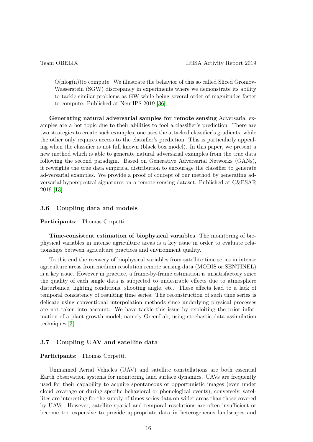$O(n\log(n))$  to compute. We illustrate the behavior of this so called Sliced Gromov-Wasserstein (SGW) discrepancy in experiments where we demonstrate its ability to tackle similar problems as GW while being several order of magnitudes faster to compute. Published at NeurIPS 2019 [\[36\]](#page-42-3).

Generating natural adversarial samples for remote sensing Adversarial examples are a hot topic due to their abilities to fool a classifier's prediction. There are two strategies to create such examples, one uses the attacked classifier's gradients, while the other only requires access to the classifier's prediction. This is particularly appealing when the classifier is not full known (black box model). In this paper, we present a new method which is able to generate natural adversarial examples from the true data following the second paradigm. Based on Generative Adversarial Networks (GANs), it reweights the true data empirical distribution to encourage the classifier to generate ad-versarial examples. We provide a proof of concept of our method by generating adversarial hyperspectral signatures on a remote sensing dataset. Published at C&ESAR 2019 [\[13\]](#page-40-8)

### 3.6 Coupling data and models

Participants: Thomas Corpetti.

Time-consistent estimation of biophysical variables. The monitoring of biophysical variables in intense agriculture areas is a key issue in order to evaluate relationships between agriculture practices and environment quality.

To this end the recovery of biophysical variables from satellite time series in intense agriculture areas from medium resolution remote sensing data (MODIS or SENTINEL) is a key issue. However in practice, a frame-by-frame estimation is unsatisfactory since the quality of each single data is subjected to undesirable effects due to atmosphere disturbance, lighting conditions, shooting angle, etc. These effects lead to a lack of temporal consistency of resulting time series. The reconstruction of such time series is delicate using conventional interpolation methods since underlying physical processes are not taken into account. We have tackle this issue by exploiting the prior information of a plant growth model, namely GreenLab, using stochastic data assimilation techniques [\[3\]](#page-39-8).

# 3.7 Coupling UAV and satellite data

### Participants: Thomas Corpetti.

Unmanned Aerial Vehicles (UAV) and satellite constellations are both essential Earth observation systems for monitoring land surface dynamics. UAVs are frequently used for their capability to acquire spontaneous or opportunistic images (even under cloud coverage or during specific behavioral or phenological events); conversely, satellites are interesting for the supply of times series data on wider areas than those covered by UAVs. However, satellite spatial and temporal resolutions are often insufficient or become too expensive to provide appropriate data in heterogeneous landscapes and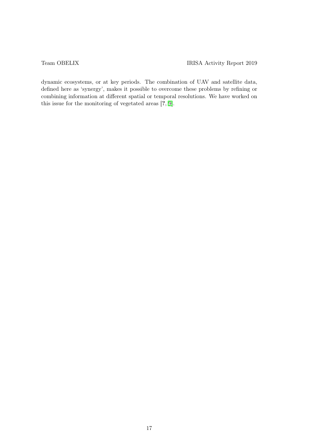dynamic ecosystems, or at key periods. The combination of UAV and satellite data, defined here as 'synergy', makes it possible to overcome these problems by refining or combining information at different spatial or temporal resolutions. We have worked on this issue for the monitoring of vegetated areas [?, [9\]](#page-39-9).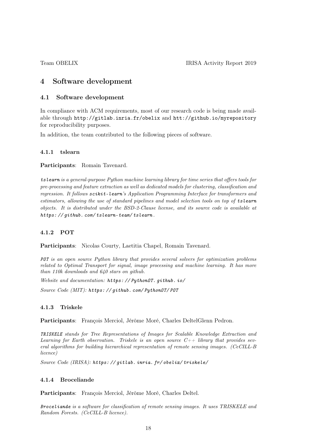Team OBELIX IRISA Activity Report 2019

# 4 Software development

# 4.1 Software development

In compliance with ACM requirements, most of our research code is being made available through http://gitlab.inria.fr/obelix and htt://github.io/myrepository for reproducibility purposes.

In addition, the team contributed to the following pieces of software.

### 4.1.1 tslearn

Participants: Romain Tavenard.

tslearn is a general-purpose Python machine learning library for time series that offers tools for pre-processing and feature extraction as well as dedicated models for clustering, classification and regression. It follows scikit-learn's Application Programming Interface for transformers and estimators, allowing the use of standard pipelines and model selection tools on top of tslearn objects. It is distributed under the BSD-2-Clause license, and its source code is available at https: // github. com/ tslearn-team/ tslearn .

# 4.1.2 POT

Participants: Nicolas Courty, Laetitia Chapel, Romain Tavenard.

POT is an open source Python library that provides several solvers for optimization problems related to Optimal Transport for signal, image processing and machine learning. It has more than 110k downloads and 640 stars on github.

Website and documentation: https: // PythonOT. github. io/

Source Code (MIT): https: // github. com/ PythonOT/ POT

### 4.1.3 Triskele

Participants: François Merciol, Jérôme Moré, Charles DeltelGlenn Pedron.

TRISKELE stands for Tree Representations of Images for Scalable Knowledge Extraction and Learning for Earth observation. Triskele is an open source  $C_{++}$  library that provides several algorithms for building hierarchical representation of remote sensing images. (CeCILL-B licence)

Source Code (IRISA): https: // gitlab. inria. fr/ obelix/ triskele/

# 4.1.4 Broceliande

Participants: François Merciol, Jérôme Moré, Charles Deltel.

Broceliande is a software for classification of remote sensing images. It uses TRISKELE and Random Forests. (CeCILL-B licence).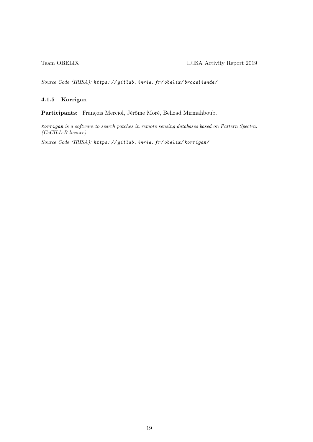# Team OBELIX IRISA Activity Report 2019

Source Code (IRISA): https: // gitlab. inria. fr/ obelix/ broceliande/

# 4.1.5 Korrigan

Participants: François Merciol, Jérôme Moré, Behzad Mirmahboub.

Korrigan is a software to search patches in remote sensing databases based on Pattern Spectra. (CeCILL-B licence)

Source Code (IRISA): https: // gitlab. inria. fr/ obelix/ korrigan/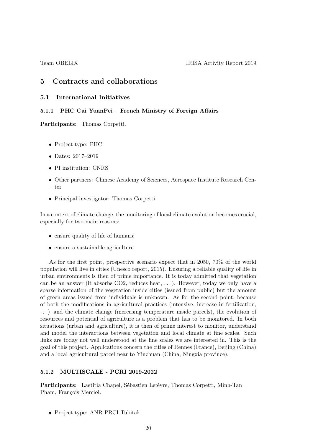# 5 Contracts and collaborations

## 5.1 International Initiatives

# 5.1.1 PHC Cai YuanPei – French Ministry of Foreign Affairs

Participants: Thomas Corpetti.

- Project type: PHC
- Dates: 2017–2019
- PI institution: CNRS
- Other partners: Chinese Academy of Sciences, Aerospace Institute Research Center
- Principal investigator: Thomas Corpetti

In a context of climate change, the monitoring of local climate evolution becomes crucial, especially for two main reasons:

- ensure quality of life of humans;
- ensure a sustainable agriculture.

As for the first point, prospective scenario expect that in 2050, 70% of the world population will live in cities (Unesco report, 2015). Ensuring a reliable quality of life in urban environments is then of prime importance. It is today admitted that vegetation can be an answer (it absorbs CO2, reduces heat, . . . ). However, today we only have a sparse information of the vegetation inside cities (issued from public) but the amount of green areas issued from individuals is unknown. As for the second point, because of both the modifications in agricultural practices (intensive, increase in fertilization, . . . ) and the climate change (increasing temperature inside parcels), the evolution of resources and potential of agriculture is a problem that has to be monitored. In both situations (urban and agriculture), it is then of prime interest to monitor, understand and model the interactions between vegetation and local climate at fine scales. Such links are today not well understood at the fine scales we are interested in. This is the goal of this project. Applications concern the cities of Rennes (France), Beijing (China) and a local agricultural parcel near to Yinchuan (China, Ningxia province).

# 5.1.2 MULTISCALE - PCRI 2019-2022

Participants: Laetitia Chapel, Sébastien Lefèvre, Thomas Corpetti, Minh-Tan Pham, François Merciol.

• Project type: ANR PRCI Tubitak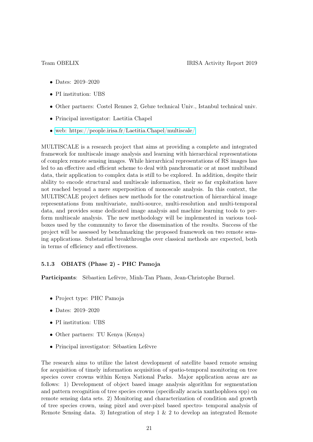- Dates: 2019–2020
- PI institution: UBS
- Other partners: Costel Rennes 2, Gebze technical Univ., Istanbul technical univ.
- Principal investigator: Laetitia Chapel
- [web: https://people.irisa.fr/Laetitia.Chapel/multiscale/](https://people.irisa.fr/Laetitia.Chapel/multiscale/)

MULTISCALE is a research project that aims at providing a complete and integrated framework for multiscale image analysis and learning with hierarchical representations of complex remote sensing images. While hierarchical representations of RS images has led to an effective and efficient scheme to deal with panchromatic or at most multiband data, their application to complex data is still to be explored. In addition, despite their ability to encode structural and multiscale information, their so far exploitation have not reached beyond a mere superposition of monoscale analysis. In this context, the MULTISCALE project defines new methods for the construction of hierarchical image representations from multivariate, multi-source, multi-resolution and multi-temporal data, and provides some dedicated image analysis and machine learning tools to perform multiscale analysis. The new methodology will be implemented in various toolboxes used by the community to favor the dissemination of the results. Success of the project will be assessed by benchmarking the proposed framework on two remote sensing applications. Substantial breakthroughs over classical methods are expected, both in terms of efficiency and effectiveness.

# 5.1.3 OBIATS (Phase 2) - PHC Pamoja

Participants: Sébastien Lefèvre, Minh-Tan Pham, Jean-Christophe Burnel.

- Project type: PHC Pamoja
- Dates: 2019–2020
- PI institution: UBS
- Other partners: TU Kenya (Kenya)
- Principal investigator: Sébastien Lefèvre

The research aims to utilize the latest development of satellite based remote sensing for acquisition of timely information acquisition of spatio-temporal monitoring on tree species cover crowns within Kenya National Parks. Major application areas are as follows: 1) Development of object based image analysis algorithm for segmentation and pattern recognition of tree species crowns (specifically acacia xanthophloea spp) on remote sensing data sets. 2) Monitoring and characterization of condition and growth of tree species crown, using pixel and over-pixel based spectro- temporal analysis of Remote Sensing data. 3) Integration of step 1 & 2 to develop an integrated Remote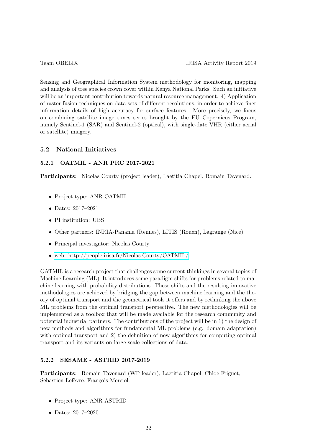Sensing and Geographical Information System methodology for monitoring, mapping and analysis of tree species crown cover within Kenya National Parks. Such an initiative will be an important contribution towards natural resource management. 4) Application of raster fusion techniques on data sets of different resolutions, in order to achieve finer information details of high accuracy for surface features. More precisely, we focus on combining satellite image times series brought by the EU Copernicus Program, namely Sentinel-1 (SAR) and Sentinel-2 (optical), with single-date VHR (either aerial or satellite) imagery.

# 5.2 National Initiatives

# 5.2.1 OATMIL - ANR PRC 2017-2021

Participants: Nicolas Courty (project leader), Laetitia Chapel, Romain Tavenard.

- Project type: ANR OATMIL
- Dates: 2017–2021
- PI institution: UBS
- Other partners: INRIA-Panama (Rennes), LITIS (Rouen), Lagrange (Nice)
- Principal investigator: Nicolas Courty
- [web: http://people.irisa.fr/Nicolas.Courty/OATMIL/](http://people.irisa.fr/Nicolas.Courty/OATMIL/)

OATMIL is a research project that challenges some current thinkings in several topics of Machine Learning (ML). It introduces some paradigm shifts for problems related to machine learning with probability distributions. These shifts and the resulting innovative methodologies are achieved by bridging the gap between machine learning and the theory of optimal transport and the geometrical tools it offers and by rethinking the above ML problems from the optimal transport perspective. The new methodologies will be implemented as a toolbox that will be made available for the research community and potential industrial partners. The contributions of the project will be in 1) the design of new methods and algorithms for fundamental ML problems (e.g. domain adaptation) with optimal transport and 2) the definition of new algorithms for computing optimal transport and its variants on large scale collections of data.

# 5.2.2 SESAME - ASTRID 2017-2019

Participants: Romain Tavenard (WP leader), Laetitia Chapel, Chloé Friguet, Sébastien Lefèvre, François Merciol.

- Project type: ANR ASTRID
- Dates: 2017–2020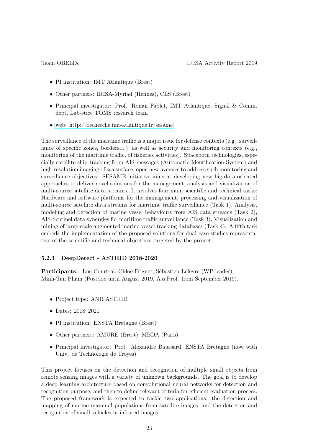- PI institution: IMT Atlantique (Brest)
- Other partners: IRISA-Myriad (Rennes), CLS (Brest)
- Principal investigator: Prof. Ronan Fablet, IMT Atlantique, Signal & Comm. dept, Lab-sticc TOMS research team
- [web: http://recherche.imt-atlantique.fr/sesame](http://recherche.imt-atlantique.fr/sesame)

The surveillance of the maritime traffic is a major issue for defense contexts (e.g., surveillance of specific zones, borders,...) as well as security and monitoring contexts (e.g., monitoring of the maritime traffic, of fisheries activities). Spaceborn technologies, especially satellite ship tracking from AIS messages (Automatic Identification System) and high-resolution imaging of sea surface, open new avenues to address such monitoring and surveillance objectives. SESAME initiative aims at developing new big-data-oriented approaches to deliver novel solutions for the management, analysis and visualization of multi-source satellite data streams. It involves four main scientific and technical tasks: Hardware and software platforms for the management, processing and visualization of multi-source satellite data streams for maritime traffic surveillance (Task 1), Analysis, modeling and detection of marine vessel behaviours from AIS data streams (Task 2), AIS-Sentinel data synergies for maritime traffic surveillance (Task 3), Visualization and mining of large-scale augmented marine vessel tracking databases (Task 4). A fifth task embeds the implementation of the proposed solutions for dual case-studies representative of the scientific and technical objectives targeted by the project.

### 5.2.3 DeepDetect - ASTRID 2018-2020

Participants: Luc Courtrai, Chloé Friguet, Sébastien Lefèvre (WP leader), Minh-Tan Pham (Postdoc until August 2019, Ass.Prof. from September 2019).

- Project type: ANR ASTRID
- Dates: 2018–2021
- PI institution: ENSTA Bretagne (Brest)
- Other partners: AMURE (Brest), MBDA (Paris)
- Principal investigator: Prof. Alexandre Baussard, ENSTA Bretagne (now with Univ. de Technologie de Troyes)

This project focuses on the detection and recognition of multiple small objects from remote sensing images with a variety of unknown backgrounds. The goal is to develop a deep learning architecture based on convolutional neural networks for detection and recognition purpose, and then to define relevant criteria for efficient evaluation process. The proposed framework is expected to tackle two applications: the detection and mapping of marine mammal populations from satellite images, and the detection and recognition of small vehicles in infrared images.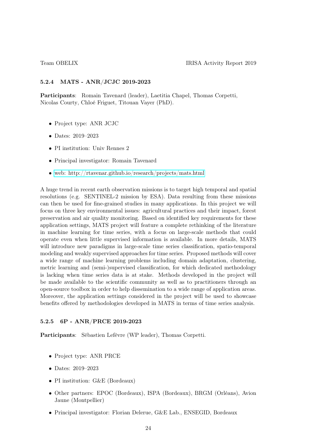### 5.2.4 MATS - ANR/JCJC 2019-2023

Participants: Romain Tavenard (leader), Laetitia Chapel, Thomas Corpetti, Nicolas Courty, Chloé Friguet, Titouan Vayer (PhD).

- Project type: ANR JCJC
- Dates: 2019–2023
- PI institution: Univ Rennes 2
- Principal investigator: Romain Tavenard
- [web: http://rtavenar.github.io/research/projects/mats.html](http://rtavenar.github.io/research/projects/mats.html)

A huge trend in recent earth observation missions is to target high temporal and spatial resolutions (e.g. SENTINEL-2 mission by ESA). Data resulting from these missions can then be used for fine-grained studies in many applications. In this project we will focus on three key environmental issues: agricultural practices and their impact, forest preservation and air quality monitoring. Based on identified key requirements for these application settings, MATS project will feature a complete rethinking of the literature in machine learning for time series, with a focus on large-scale methods that could operate even when little supervised information is available. In more details, MATS will introduce new paradigms in large-scale time series classification, spatio-temporal modeling and weakly supervised approaches for time series. Proposed methods will cover a wide range of machine learning problems including domain adaptation, clustering, metric learning and (semi-)supervised classification, for which dedicated methodology is lacking when time series data is at stake. Methods developed in the project will be made available to the scientific community as well as to practitioners through an open-source toolbox in order to help dissemination to a wide range of application areas. Moreover, the application settings considered in the project will be used to showcase benefits offered by methodologies developed in MATS in terms of time series analysis.

### 5.2.5 6P - ANR/PRCE 2019-2023

Participants: Sébastien Lefèvre (WP leader), Thomas Corpetti.

- Project type: ANR PRCE
- Dates: 2019–2023
- PI institution: G&E (Bordeaux)
- Other partners: EPOC (Bordeaux), ISPA (Bordeaux), BRGM (Orléans), Avion Jaune (Montpellier)
- Principal investigator: Florian Delerue, G&E Lab., ENSEGID, Bordeaux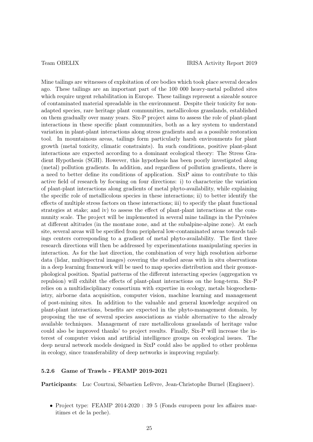Mine tailings are witnesses of exploitation of ore bodies which took place several decades ago. These tailings are an important part of the 100 000 heavy-metal polluted sites which require urgent rehabilitation in Europe. These tailings represent a sizeable source of contaminated material spreadable in the environment. Despite their toxicity for nonadapted species, rare heritage plant communities, metallicolous grasslands, established on them gradually over many years. Six-P project aims to assess the role of plant-plant interactions in these specific plant communities, both as a key system to understand variation in plant-plant interactions along stress gradients and as a possible restoration tool. In mountainous areas, tailings form particularly harsh environments for plant growth (metal toxicity, climatic constraints). In such conditions, positive plant-plant interactions are expected according to a dominant ecological theory: The Stress Gradient Hypothesis (SGH). However, this hypothesis has been poorly investigated along (metal) pollution gradients. In addition, and regardless of pollution gradients, there is a need to better define its conditions of application. SixP aims to contribute to this active field of research by focusing on four directions: i) to characterize the variation of plant-plant interactions along gradients of metal phyto-availability, while explaining the specific role of metallicolous species in these interactions; ii) to better identify the effects of multiple stress factors on these interactions; iii) to specify the plant functional strategies at stake; and iv) to assess the effect of plant-plant interactions at the community scale. The project will be implemented in several mine tailings in the Pyrénées at different altitudes (in the montane zone, and at the subalpine-alpine zone). At each site, several areas will be specified from peripheral low-contaminated areas towards tailings centers corresponding to a gradient of metal phyto-availability. The first three research directions will then be addressed by experimentations manipulating species in interaction. As for the last direction, the combination of very high resolution airborne data (lidar, multispectral images) covering the studied areas with in situ observations in a deep learning framework will be used to map species distribution and their geomorphological position. Spatial patterns of the different interacting species (aggregation vs repulsion) will exhibit the effects of plant-plant interactions on the long-term. Six-P relies on a multidisciplinary consortium with expertise in ecology, metals biogeochemistry, airborne data acquisition, computer vision, machine learning and management of post-mining sites. In addition to the valuable and general knowledge acquired on plant-plant interactions, benefits are expected in the phyto-management domain, by proposing the use of several species associations as viable alternative to the already available techniques. Management of rare metallicolous grasslands of heritage value could also be improved thanks' to project results. Finally, Six-P will increase the interest of computer vision and artificial intelligence groups on ecological issues. The deep neural network models designed in SixP could also be applied to other problems in ecology, since transferability of deep networks is improving regularly.

### 5.2.6 Game of Trawls - FEAMP 2019-2021

Participants: Luc Courtrai, Sébastien Lefèvre, Jean-Christophe Burnel (Engineer).

• Project type: FEAMP 2014-2020 : 39 5 (Fonds europeen pour les affaires maritimes et de la peche).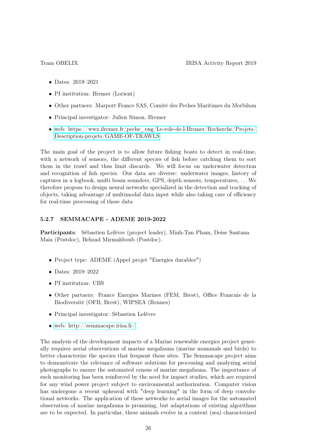- Dates: 2019–2021
- PI institution: Ifremer (Lorient)
- Other partners: Marport France SAS, Comité des Peches Maritimes du Morbihan
- Principal investigator: Julien Simon, Ifremer
- [web: https://wwz.ifremer.fr/peche\\_eng/Le-role-de-l-Ifremer/Recherche/Projets/](https://wwz.ifremer.fr/peche_eng/Le-role-de-l-Ifremer/Recherche/Projets/Description-projets/GAME-OF-TRAWLS) [Description-projets/GAME-OF-TRAWLS](https://wwz.ifremer.fr/peche_eng/Le-role-de-l-Ifremer/Recherche/Projets/Description-projets/GAME-OF-TRAWLS)

The main goal of the project is to allow future fishing boats to detect in real-time, with a network of sensors, the different species of fish before catching them to sort them in the trawl and thus limit discards. We will focus on underwater detection and recognition of fish species. Our data are diverse: underwater images, history of captures in a logbook, multi beam sounders, GPS, depth sensors, temperatures, . . .We therefore propose to design neural networks specialized in the detection and tracking of objects, taking advantage of multimodal data input while also taking care of efficiency for real-time processing of these data

## 5.2.7 SEMMACAPE - ADEME 2019-2022

Participants: Sébastien Lefèvre (project leader), Minh-Tan Pham, Deise Santana Maia (Postdoc), Behzad Mirmahboub (Postdoc).

- Project type: ADEME (Appel projet "Energies durables")
- Dates: 2019–2022
- PI institution: UBS
- Other partners: France Energies Marines (FEM, Brest), Office Francais de la Biodiversité (OFB, Brest), WIPSEA (Rennes)
- Principal investigator: Sébastien Lefèvre
- [web: http://semmacape.irisa.fr/](http://semmacape.irisa.fr/)

The analysis of the development impacts of a Marine renewable energies project generally requires aerial observations of marine megafauna (marine mammals and birds) to better characterize the species that frequent these sites. The Semmacape project aims to demonstrate the relevance of software solutions for processing and analyzing aerial photographs to ensure the automated census of marine megafauna. The importance of such monitoring has been reinforced by the need for impact studies, which are required for any wind power project subject to environmental authorization. Computer vision has undergone a recent upheaval with "deep learning" in the form of deep convolutional networks. The application of these networks to aerial images for the automated observation of marine megafauna is promising, but adaptations of existing algorithms are to be expected. In particular, these animals evolve in a context (sea) characterized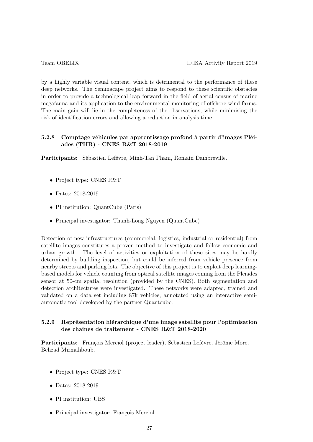by a highly variable visual content, which is detrimental to the performance of these deep networks. The Semmacape project aims to respond to these scientific obstacles in order to provide a technological leap forward in the field of aerial census of marine megafauna and its application to the environmental monitoring of offshore wind farms. The main gain will lie in the completeness of the observations, while minimising the risk of identification errors and allowing a reduction in analysis time.

# 5.2.8 Comptage véhicules par apprentissage profond à partir d'images Pléiades (THR) - CNES R&T 2018-2019

Participants: Sébastien Lefèvre, Minh-Tan Pham, Romain Dambreville.

- Project type: CNES R&T
- Dates: 2018-2019
- PI institution: QuantCube (Paris)
- Principal investigator: Thanh-Long Nguyen (QuantCube)

Detection of new infrastructures (commercial, logistics, industrial or residential) from satellite images constitutes a proven method to investigate and follow economic and urban growth. The level of activities or exploitation of these sites may be hardly determined by building inspection, but could be inferred from vehicle presence from nearby streets and parking lots. The objective of this project is to exploit deep learningbased models for vehicle counting from optical satellite images coming from the Pleiades sensor at 50-cm spatial resolution (provided by the CNES). Both segmentation and detection architectures were investigated. These networks were adapted, trained and validated on a data set including 87k vehicles, annotated using an interactive semiautomatic tool developed by the partner Quantcube.

## 5.2.9 Représentation hiérarchique d'une image satellite pour l'optimisation des chaines de traitement - CNES R&T 2018-2020

Participants: François Merciol (project leader), Sébastien Lefèvre, Jérôme More, Behzad Mirmahboub.

- Project type: CNES R&T
- Dates: 2018-2019
- PI institution: UBS
- Principal investigator: François Merciol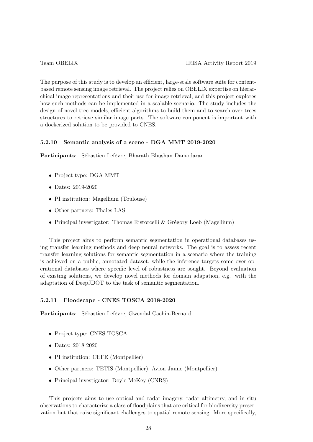The purpose of this study is to develop an efficient, large-scale software suite for contentbased remote sensing image retrieval. The project relies on OBELIX expertise on hierarchical image representations and their use for image retrieval, and this project explores how such methods can be implemented in a scalable scenario. The study includes the design of novel tree models, efficient algorithms to build them and to search over trees structures to retrieve similar image parts. The software component is important with a dockerized solution to be provided to CNES.

### 5.2.10 Semantic analysis of a scene - DGA MMT 2019-2020

Participants: Sébastien Lefèvre, Bharath Bhushan Damodaran.

- Project type: DGA MMT
- Dates: 2019-2020
- PI institution: Magellium (Toulouse)
- Other partners: Thales LAS
- Principal investigator: Thomas Ristorcelli & Grégory Loeb (Magellium)

This project aims to perform semantic segmentation in operational databases using transfer learning methods and deep neural networks. The goal is to assess recent transfer learning solutions for semantic segmentation in a scenario where the training is achieved on a public, annotated dataset, while the inference targets some over operational databases where specific level of robustness are sought. Beyond evaluation of existing solutions, we develop novel methods for domain adapation, e.g. with the adaptation of DeepJDOT to the task of semantic segmentation.

### 5.2.11 Floodscape - CNES TOSCA 2018-2020

Participants: Sébastien Lefèvre, Gwendal Cachin-Bernard.

- Project type: CNES TOSCA
- Dates: 2018-2020
- PI institution: CEFE (Montpellier)
- Other partners: TETIS (Montpellier), Avion Jaune (Montpellier)
- Principal investigator: Doyle McKey (CNRS)

This projects aims to use optical and radar imagery, radar altimetry, and in situ observations to characterize a class of floodplains that are critical for biodiversity preservation but that raise significant challenges to spatial remote sensing. More specifically,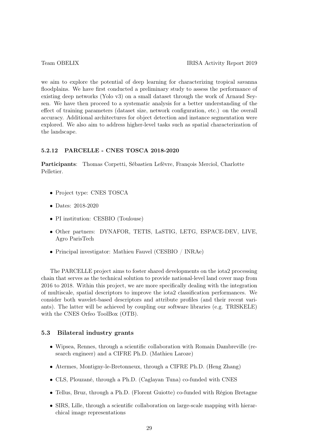we aim to explore the potential of deep learning for characterizing tropical savanna floodplains. We have first conducted a preliminary study to assess the performance of existing deep networks (Yolo v3) on a small dataset through the work of Arnaud Seysen. We have then proceed to a systematic analysis for a better understanding of the effect of training parameters (dataset size, network configuration, etc.) on the overall accuracy. Additional architectures for object detection and instance segmentation were explored. We also aim to address higher-level tasks such as spatial characterization of the landscape.

# 5.2.12 PARCELLE - CNES TOSCA 2018-2020

Participants: Thomas Corpetti, Sébastien Lefèvre, François Merciol, Charlotte Pelletier.

- Project type: CNES TOSCA
- Dates: 2018-2020
- PI institution: CESBIO (Toulouse)
- Other partners: DYNAFOR, TETIS, LaSTIG, LETG, ESPACE-DEV, LIVE, Agro ParisTech
- Principal investigator: Mathieu Fauvel (CESBIO / INRAe)

The PARCELLE project aims to foster shared developments on the iota2 processing chain that serves as the technical solution to provide national-level land cover map from 2016 to 2018. Within this project, we are more specifically dealing with the integration of multiscale, spatial descriptors to improve the iota2 classification performances. We consider both wavelet-based descriptors and attribute profiles (and their recent variants). The latter will be achieved by coupling our software libraries (e.g. TRISKELE) with the CNES Orfeo ToolBox (OTB).

# 5.3 Bilateral industry grants

- Wipsea, Rennes, through a scientific collaboration with Romain Dambreville (research engineer) and a CIFRE Ph.D. (Mathieu Laroze)
- Atermes, Montigny-le-Bretonneux, through a CIFRE Ph.D. (Heng Zhang)
- CLS, Plouzané, through a Ph.D. (Caglayan Tuna) co-funded with CNES
- Tellus, Bruz, through a Ph.D. (Florent Guiotte) co-funded with Région Bretagne
- SIRS, Lille, through a scientific collaboration on large-scale mapping with hierarchical image representations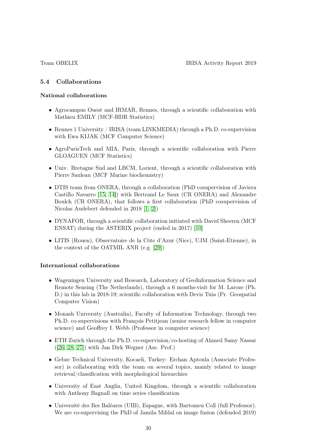# 5.4 Collaborations

# National collaborations

- Agrocampus Ouest and IRMAR, Rennes, through a scientific collaboration with Mathieu EMILY (MCF-HDR Statistics)
- Rennes 1 University / IRISA (team LINKMEDIA) through a Ph.D. co-supervision with Ewa KIJAK (MCF Computer Science)
- AgroParisTech and MIA, Paris, through a scientific collaboration with Pierre GLOAGUEN (MCF Statistics)
- Univ. Bretagne Sud and LBCM, Lorient, through a scientific collaboration with Pierre Sauleau (MCF Marine biochemistry)
- DTIS team from ONERA, through a collaboration (PhD cosupervision of Javiera Castillo Navarro [\[15,](#page-40-4) [14\]](#page-40-3)) with Bertrand Le Saux (CR ONERA) and Alexandre Boulch (CR ONERA), that follows a first collaboration (PhD cosupervision of Nicolas Audebert defended in 2018 [\[1,](#page-39-3) [2\]](#page-39-2))
- DYNAFOR, through a scientific collaboration initiated with David Sheeren (MCF ENSAT) during the ASTERIX project (ended in 2017) [\[10\]](#page-39-10)
- LITIS (Rouen), Observatoire de la Côte d'Azur (Nice), UJM (Saint-Etienne), in the context of the OATMIL ANR (e.g. [\[29\]](#page-41-9))

# International collaborations

- Wageningen University and Research, Laboratory of GeoInformation Science and Remote Sensing (The Netherlands), through a 6 months-visit for M. Laroze (Ph. D.) in this lab in 2018-19; scientific collaboration with Devis Tuia (Pr. Geospatial Computer Vision)
- Monash University (Australia), Faculty of Information Technology, through two Ph.D. co-supervisions with François Petitjean (senior research fellow in computer science) and Geoffrey I. Webb (Professor in computer science)
- ETH Zurich through the Ph.D. co-supervision/co-hosting of Ahmed Samy Nassar  $([26, 28, 27])$  $([26, 28, 27])$  $([26, 28, 27])$  $([26, 28, 27])$  $([26, 28, 27])$  with Jan Dirk Wegner (Ass. Prof.)
- Gebze Technical University, Kocaeli, Turkey: Erchan Aptoula (Associate Professor) is collaborating with the team on several topics, mainly related to image retrieval/classification with morphological hierarchies
- University of East Anglia, United Kingdom, through a scientific collaboration with Anthony Bagnall on time series classification
- Université des Iles Baléares (UIB), Espagne, with Bartomeu Coll (full Professor). We are co-supervising the PhD of Jamila Mifdal on image fusion (defended 2019)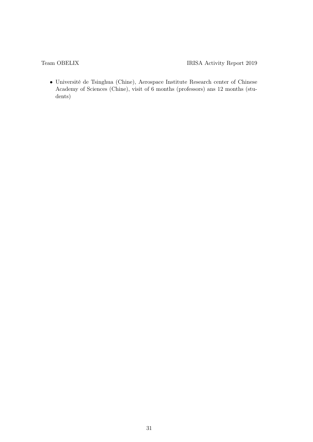• Université de Tsinghua (Chine), Aerospace Institute Research center of Chinese Academy of Sciences (Chine), visit of 6 months (professors) ans 12 months (students)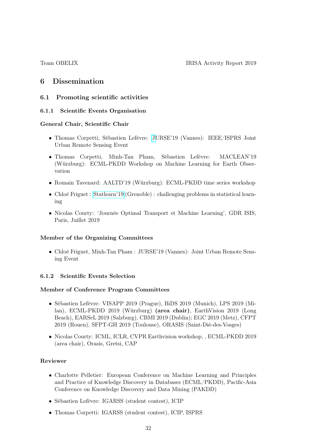Team OBELIX IRISA Activity Report 2019

# 6 Dissemination

# 6.1 Promoting scientific activities

# 6.1.1 Scientific Events Organisation

# General Chair, Scientific Chair

- Thomas Corpetti, Sébastien Lefèvre: [JU](http://jurse2019.org)RSE'19 (Vannes): IEEE/ISPRS Joint Urban Remote Sensing Event
- Thomas Corpetti, Minh-Tan Pham, Sébastien Lefèvre: MACLEAN'19 (Würzburg): ECML-PKDD Workshop on Machine Learning for Earth Observation
- Romain Tavenard: AALTD'19 (Würzburg): ECML-PKDD time series workshop
- Chloé Friguet : [Statlearn'19](https://statlearn.sciencesconf.org/resource/page/id/4) (Grenoble) : challenging problems in statistical learning
- Nicolas Courty: 'Journée Optimal Transport et Machine Learning', GDR ISIS, Paris, Juillet 2019

# Member of the Organizing Committees

• Chloé Friguet, Minh-Tan Pham : JURSE'19 (Vannes): Joint Urban Remote Sensing Event

### 6.1.2 Scientific Events Selection

### Member of Conference Program Committees

- Sébastien Lefèvre: VISAPP 2019 (Prague), BiDS 2019 (Munich), LPS 2019 (Milan), ECML-PKDD 2019 (Würzburg) (area chair), EarthVision 2019 (Long Beach), EARSeL 2019 (Salzburg), CBMI 2019 (Dublin); EGC 2019 (Metz), CFPT 2019 (Rouen), SFPT-GH 2019 (Toulouse), ORASIS (Saint-Dié-des-Vosges)
- Nicolas Courty: ICML, ICLR, CVPR Earthvision workshop, , ECML-PKDD 2019 (area chair), Orasis, Gretsi, CAP

### Reviewer

- Charlotte Pelletier: European Conference on Machine Learning and Principles and Practice of Knowledge Discovery in Databases (ECML/PKDD), Pacific-Asia Conference on Knowledge Discovery and Data Mining (PAKDD)
- Sébastien Lefèvre: IGARSS (student contest), ICIP
- Thomas Corpetti: IGARSS (student contest), ICIP, ISPRS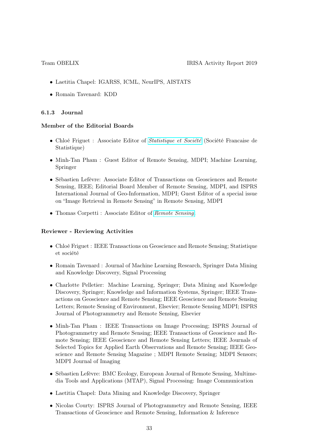- Laetitia Chapel: IGARSS, ICML, NeurIPS, AISTATS
- Romain Tavenard: KDD

# 6.1.3 Journal

# Member of the Editorial Boards

- Chloé Friguet : Associate Editor of [Statistique et Société](http://publications-sfds.fr/index.php/stat_soc) (Société Francaise de Statistique)
- Minh-Tan Pham : Guest Editor of Remote Sensing, MDPI; Machine Learning, Springer
- Sébastien Lefèvre: Associate Editor of Transactions on Geosciences and Remote Sensing, IEEE; Editorial Board Member of Remote Sensing, MDPI, and ISPRS International Journal of Geo-Information, MDPI; Guest Editor of a special issue on "Image Retrieval in Remote Sensing" in Remote Sensing, MDPI
- Thomas Corpetti : Associate Editor of [Remote Sensing](https://www.mdpi.com/journal/remotesensing/editors).

# Reviewer - Reviewing Activities

- Chloé Friguet : IEEE Transactions on Geoscience and Remote Sensing; Statistique et société
- Romain Tavenard : Journal of Machine Learning Research, Springer Data Mining and Knowledge Discovery, Signal Processing
- Charlotte Pelletier: Machine Learning, Springer; Data Mining and Knowledge Discovery, Springer; Knowledge and Information Systems, Springer; IEEE Transactions on Geoscience and Remote Sensing; IEEE Geoscience and Remote Sensing Letters; Remote Sensing of Environment, Elsevier; Remote Sensing MDPI; ISPRS Journal of Photogrammetry and Remote Sensing, Elsevier
- Minh-Tan Pham : IEEE Transactions on Image Processing; ISPRS Journal of Photogrammetry and Remote Sensing; IEEE Transactions of Geoscience and Remote Sensing; IEEE Geoscience and Remote Sensing Letters; IEEE Journals of Selected Topics for Applied Earth Observations and Remote Sensing; IEEE Geoscience and Remote Sensing Magazine ; MDPI Remote Sensing; MDPI Sensors; MDPI Journal of Imaging
- Sébastien Lefèvre: BMC Ecology, European Journal of Remote Sensing, Multimedia Tools and Applications (MTAP), Signal Processing: Image Communication
- Laetitia Chapel: Data Mining and Knowledge Discovery, Springer
- Nicolas Courty: ISPRS Journal of Photogrammetry and Remote Sensing, IEEE Transactions of Geoscience and Remote Sensing, Information & Inference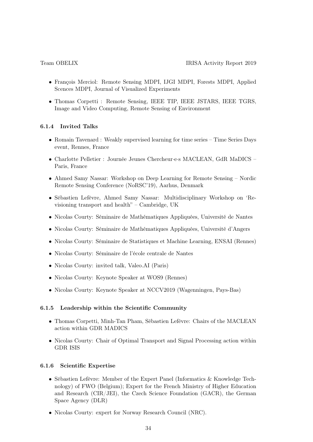- François Merciol: Remote Sensing MDPI, IJGI MDPI, Forests MDPI, Applied Scences MDPI, Journal of Visualized Experiments
- Thomas Corpetti : Remote Sensing, IEEE TIP, IEEE JSTARS, IEEE TGRS, Image and Video Computing, Remote Sensing of Environment

## 6.1.4 Invited Talks

- Romain Tavenard : Weakly supervised learning for time series Time Series Days event, Rennes, France
- Charlotte Pelletier : Journée Jeunes Chercheur·e·s MACLEAN, GdR MaDICS Paris, France
- Ahmed Samy Nassar: Workshop on Deep Learning for Remote Sensing Nordic Remote Sensing Conference (NoRSC'19), Aarhus, Denmark
- Sébastien Lefèvre, Ahmed Samy Nassar: Multidisciplinary Workshop on 'Revisioning transport and health" – Cambridge, UK
- Nicolas Courty: Séminaire de Mathématiques Appliquées, Université de Nantes
- Nicolas Courty: Séminaire de Mathématiques Appliquées, Université d'Angers
- Nicolas Courty: Séminaire de Statistiques et Machine Learning, ENSAI (Rennes)
- Nicolas Courty: Séminaire de l'école centrale de Nantes
- Nicolas Courty: invited talk, Valeo.AI (Paris)
- Nicolas Courty: Keynote Speaker at WOS9 (Rennes)
- Nicolas Courty: Keynote Speaker at NCCV2019 (Wagenningen, Pays-Bas)

### 6.1.5 Leadership within the Scientific Community

- Thomas Corpetti, Minh-Tan Pham, Sébastien Lefèvre: Chairs of the MACLEAN action within GDR MADICS
- Nicolas Courty: Chair of Optimal Transport and Signal Processing action within GDR ISIS

### 6.1.6 Scientific Expertise

- Sébastien Lefèvre: Member of the Expert Panel (Informatics & Knowledge Technology) of FWO (Belgium); Expert for the French Ministry of Higher Education and Research (CIR/JEI), the Czech Science Foundation (GACR), the German Space Agency (DLR)
- Nicolas Courty: expert for Norway Research Council (NRC).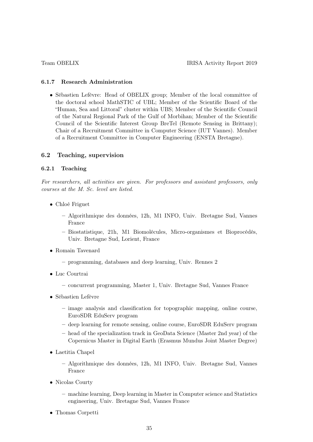## 6.1.7 Research Administration

• Sébastien Lefèvre: Head of OBELIX group; Member of the local committee of the doctoral school MathSTIC of UBL; Member of the Scientific Board of the "Human, Sea and Littoral" cluster within UBS; Member of the Scientific Council of the Natural Regional Park of the Gulf of Morbihan; Member of the Scientific Council of the Scientific Interest Group BreTel (Remote Sensing in Brittany); Chair of a Recruitment Committee in Computer Science (IUT Vannes). Member of a Recruitment Committee in Computer Engineering (ENSTA Bretagne).

# 6.2 Teaching, supervision

## 6.2.1 Teaching

For researchers, all activities are given. For professors and assistant professors, only courses at the M. Sc. level are listed.

- Chloé Friguet
	- Algorithmique des données, 12h, M1 INFO, Univ. Bretagne Sud, Vannes France
	- Biostatistique, 21h, M1 Biomolécules, Micro-organismes et Bioprocédés, Univ. Bretagne Sud, Lorient, France
- Romain Tavenard
	- programming, databases and deep learning, Univ. Rennes 2
- Luc Courtrai
	- concurrent programming, Master 1, Univ. Bretagne Sud, Vannes France
- Sébastien Lefèvre
	- image analysis and classification for topographic mapping, online course, EuroSDR EduServ program
	- deep learning for remote sensing, online course, EuroSDR EduServ program
	- head of the specialization track in GeoData Science (Master 2nd year) of the Copernicus Master in Digital Earth (Erasmus Mundus Joint Master Degree)
- Laetitia Chapel
	- Algorithmique des données, 12h, M1 INFO, Univ. Bretagne Sud, Vannes France
- Nicolas Courty
	- machine learning, Deep learning in Master in Computer science and Statistics engineering, Univ. Bretagne Sud, Vannes France
- Thomas Corpetti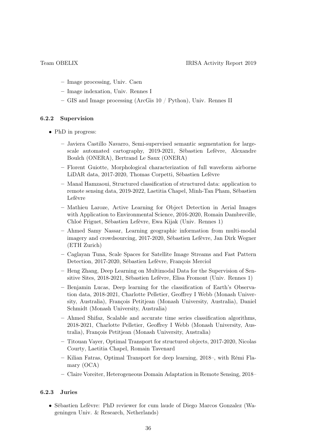- Image processing, Univ. Caen
- Image indexation, Univ. Rennes I
- GIS and Image processing (ArcGis 10 / Python), Univ. Rennes II

# 6.2.2 Supervision

- PhD in progress:
	- Javiera Castillo Navarro, Semi-supervised semantic segmentation for largescale automated cartography, 2019-2021, Sébastien Lefèvre, Alexandre Boulch (ONERA), Bertrand Le Saux (ONERA)
	- Florent Guiotte, Morphological characterization of full waveform airborne LiDAR data, 2017-2020, Thomas Corpetti, Sébastien Lefèvre
	- Manal Hamzaoui, Structured classification of structured data: application to remote sensing data, 2019-2022, Laetitia Chapel, Minh-Tan Pham, Sébastien Lefèvre
	- Mathieu Laroze, Active Learning for Object Detection in Aerial Images with Application to Environmental Science, 2016-2020, Romain Dambreville, Chloé Friguet, Sébastien Lefèvre, Ewa Kijak (Univ. Rennes 1)
	- Ahmed Samy Nassar, Learning geographic information from multi-modal imagery and crowdsourcing, 2017-2020, Sébastien Lefèvre, Jan Dirk Wegner (ETH Zurich)
	- Caglayan Tuna, Scale Spaces for Satellite Image Streams and Fast Pattern Detection, 2017-2020, Sébastien Lefèvre, François Merciol
	- Heng Zhang, Deep Learning on Multimodal Data for the Supervision of Sensitive Sites, 2018-2021, Sébastien Lefèvre, Elisa Fromont (Univ. Rennes 1)
	- Benjamin Lucas, Deep learning for the classification of Earth's Observation data, 2018-2021, Charlotte Pelletier, Geoffrey I Webb (Monash University, Australia), François Petitjean (Monash University, Australia), Daniel Schmidt (Monash University, Australia)
	- Ahmed Shifaz, Scalable and accurate time series classification algorithms, 2018-2021, Charlotte Pelletier, Geoffrey I Webb (Monash University, Australia), François Petitjean (Monash University, Australia)
	- Titouan Vayer, Optimal Transport for structured objects, 2017-2020, Nicolas Courty, Laetitia Chapel, Romain Tavenard
	- Kilian Fatras, Optimal Transport for deep learning, 2018–, with Rémi Flamary (OCA)
	- Claire Voreiter, Heterogeneous Domain Adaptation in Remote Sensing, 2018–

# 6.2.3 Juries

• Sébastien Lefèvre: PhD reviewer for cum laude of Diego Marcos Gonzalez (Wageningen Univ. & Research, Netherlands)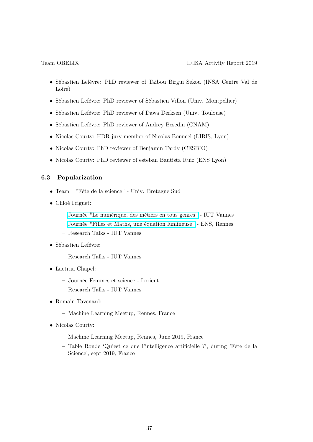### Team OBELIX IRISA Activity Report 2019

- Sébastien Lefèvre: PhD reviewer of Taibou Birgui Sekou (INSA Centre Val de Loire)
- Sébastien Lefèvre: PhD reviewer of Sébastien Villon (Univ. Montpellier)
- Sébastien Lefèvre: PhD reviewer of Dawa Derksen (Univ. Toulouse)
- Sébastien Lefèvre: PhD reviewer of Andrey Besedin (CNAM)
- Nicolas Courty: HDR jury member of Nicolas Bonneel (LIRIS, Lyon)
- Nicolas Courty: PhD reviewer of Benjamin Tardy (CESBIO)
- Nicolas Courty: PhD reviewer of esteban Bautista Ruiz (ENS Lyon)

# 6.3 Popularization

- Team : "Fête de la science" Univ. Bretagne Sud
- Chloé Friguet:
	- [Journée "Le numérique, des métiers en tous genres"](numerique-en-tous-genres.bzh) IUT Vannes
	- [Journée "Filles et Maths, une équation lumineuse"](numerique-en-tous-genres.bzh) ENS, Rennes
	- Research Talks IUT Vannes
- Sébastien Lefèvre:
	- Research Talks IUT Vannes
- Laetitia Chapel:
	- Journée Femmes et science Lorient
	- Research Talks IUT Vannes
- Romain Tavenard:
	- Machine Learning Meetup, Rennes, France
- Nicolas Courty:
	- Machine Learning Meetup, Rennes, June 2019, France
	- Table Ronde 'Qu'est ce que l'intelligence artificielle ?', during 'Fête de la Science', sept 2019, France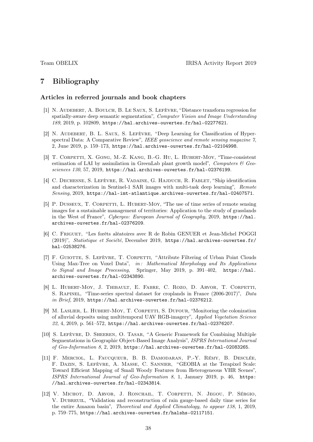# 7 Bibliography

### Articles in referred journals and book chapters

- <span id="page-39-3"></span>[1] N. Audebert, A. Boulch, B. Le Saux, S. Lefèvre, "Distance transform regression for spatially-aware deep semantic segmentation", Computer Vision and Image Understanding 189, 2019, p. 102809, https://hal.archives-ouvertes.fr/hal-02277621.
- <span id="page-39-2"></span>[2] N. Audebert, B. L. Saux, S. Lefèvre, "Deep Learning for Classification of Hyperspectral Data: A Comparative Review", IEEE geoscience and remote sensing magazine 7, 2, June 2019, p. 159–173, https://hal.archives-ouvertes.fr/hal-02104998.
- <span id="page-39-8"></span>[3] T. CORPETTI, X. GONG, M.-Z. KANG, B.-G. HU, L. HUBERT-MOY, "Time-consistent estimation of LAI by assimilation in GreenLab plant growth model", Computers  $\mathcal C$  Geosciences 130, 57, 2019, https://hal.archives-ouvertes.fr/hal-02376199.
- <span id="page-39-4"></span>[4] C. Dechesne, S. Lefèvre, R. Vadaine, G. Hajduch, R. Fablet, "Ship identification and characterization in Sentinel-1 SAR images with multi-task deep learning", Remote Sensing, 2019, https://hal-imt-atlantique.archives-ouvertes.fr/hal-02407571.
- <span id="page-39-5"></span>[5] P. DUSSEUX, T. CORPETTI, L. HUBERT-MOY, "The use of time series of remote sensing images for a sustainable management of territories: Application to the study of grasslands in the West of France", Cybergeo: European Journal of Geography, 2019, https://hal. archives-ouvertes.fr/hal-02376209.
- [6] C. Friguet, "Les forêts aléatoires avec R de Robin GENUER et Jean-Michel POGGI (2019)", Statistique et Société, December 2019, https://hal.archives-ouvertes.fr/ hal-02538276.
- <span id="page-39-0"></span>[7] F. GUIOTTE, S. LEFÈVRE, T. CORPETTI, "Attribute Filtering of Urban Point Clouds Using Max-Tree on Voxel Data", in: Mathematical Morphology and Its Applications to Signal and Image Processing, Springer, May 2019, p. 391–402, https://hal. archives-ouvertes.fr/hal-02343890.
- <span id="page-39-6"></span>[8] L. Hubert-Moy, J. Thibault, E. Fabre, C. Rozo, D. Arvor, T. Corpetti, S. Rapinel, "Time-series spectral dataset for croplands in France (2006-2017)", Data in Brief, 2019, https://hal.archives-ouvertes.fr/hal-02376212.
- <span id="page-39-9"></span>[9] M. Laslier, L. Hubert-Moy, T. Corpetti, S. Dufour, "Monitoring the colonization of alluvial deposits using multitemporal UAV RGB-imagery", Applied Vegetation Science 22, 4, 2019, p. 561–572, https://hal.archives-ouvertes.fr/hal-02376207.
- <span id="page-39-10"></span>[10] S. Lefèvre, D. Sheeren, O. Tasar, "A Generic Framework for Combining Multiple Segmentations in Geographic Object-Based Image Analysis", ISPRS International Journal of Geo-Information 8, 2, 2019, https://hal.archives-ouvertes.fr/hal-02083265.
- <span id="page-39-1"></span>[11] F. Merciol, L. Faucqueur, B. B. Damodaran, P.-Y. Rémy, B. Desclée, F. Dazin, S. Lefèvre, A. Masse, C. Sannier, "GEOBIA at the Terapixel Scale: Toward Efficient Mapping of Small Woody Features from Heterogeneous VHR Scenes", ISPRS International Journal of Geo-Information 8, 1, January 2019, p. 46, https: //hal.archives-ouvertes.fr/hal-02343814.
- <span id="page-39-7"></span>[12] V. Michot, D. Arvor, J. Ronchail, T. Corpetti, N. Jegou, P. Sérgio, V. DUBREUIL, "Validation and reconstruction of rain gauge-based daily time series for the entire Amazon basin", Theoretical and Applied Climatology, to appear 138, 1, 2019, p. 759–775, https://hal.archives-ouvertes.fr/halshs-02117151.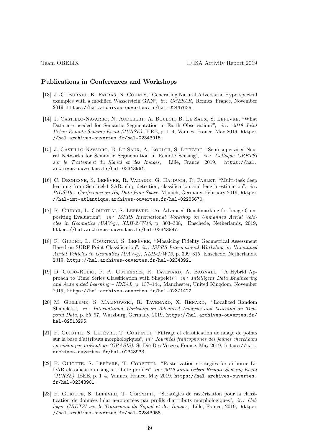### Publications in Conferences and Workshops

- <span id="page-40-8"></span>[13] J.-C. Burnel, K. Fatras, N. Courty, "Generating Natural Adversarial Hyperspectral examples with a modified Wasserstein GAN",  $in:$  C&ESAR, Rennes, France, November 2019, https://hal.archives-ouvertes.fr/hal-02447625.
- <span id="page-40-3"></span>[14] J. Castillo-Navarro, N. Audebert, A. Boulch, B. Le Saux, S. Lefèvre, "What Data are needed for Semantic Segmentation in Earth Observation?", in: 2019 Joint Urban Remote Sensing Event (JURSE), IEEE, p. 1–4, Vannes, France, May 2019, https: //hal.archives-ouvertes.fr/hal-02343915.
- <span id="page-40-4"></span>[15] J. Castillo-Navarro, B. Le Saux, A. Boulch, S. Lefèvre, "Semi-supervised Neural Networks for Semantic Segmentation in Remote Sensing", in : Colloque GRETSI sur le Traitement du Signal et des Images, Lille, France, 2019, https://hal. archives-ouvertes.fr/hal-02343961.
- <span id="page-40-5"></span>[16] C. DECHESNE, S. LEFÈVRE, R. VADAINE, G. HAJDUCH, R. FABLET, "Multi-task deep learning from Sentinel-1 SAR: ship detection, classification and length estimation",  $in$ : BiDS'19 : Conference on Big Data from Space, Munich, Germany, February 2019, https: //hal-imt-atlantique.archives-ouvertes.fr/hal-02285670.
- [17] R. Giudici, L. Courtrai, S. Lefèvre, "An Advanced Benchmarking for Image Compositing Evaluation", in: ISPRS International Workshop on Unmanned Aerial Vehi $cles\ \ in\ Geomatics\ \ (UAV-g),\ \ XLII-2/W13,\ \ \text{p.}\ \ 303-308,\quad \text{Enschede},\ \ \text{Netherlands},\ \ 2019,$ https://hal.archives-ouvertes.fr/hal-02343897.
- [18] R. Giudici, L. Courtrai, S. Lefèvre, "Mosaicing Fidelity Geometrical Assessment Based on SURF Point Classification", in: ISPRS International Workshop on Unmanned Aerial Vehicles in Geomatics (UAV-g), XLII-2/W13, p. 309–315, Enschede, Netherlands, 2019, https://hal.archives-ouvertes.fr/hal-02343921.
- <span id="page-40-7"></span>[19] D. Guijo-Rubio, P. A. Gutiérrez, R. Tavenard, A. Bagnall, "A Hybrid Approach to Time Series Classification with Shapelets", in: Intelligent Data Engineering and Automated Learning – IDEAL, p. 137–144, Manchester, United Kingdom, November 2019, https://hal.archives-ouvertes.fr/hal-02371422.
- <span id="page-40-6"></span>[20] M. Guilleme, S. Malinowski, R. Tavenard, X. Renard, "Localized Random Shapelets", in: International Workshop on Advanced Analysis and Learning on Temporal Data, p. 85–97, Wurzburg, Germany, 2019, https://hal.archives-ouvertes.fr/ hal-02513295.
- <span id="page-40-2"></span>[21] F. Guiotte, S. Lefèvre, T. Corpetti, "Filtrage et classification de nuage de points sur la base d'attributs morphologiques", in : Journées francophones des jeunes chercheurs en vision par ordinateur (ORASIS), St-Dié-Des-Vosges, France, May 2019, https://hal. archives-ouvertes.fr/hal-02343933.
- <span id="page-40-0"></span>[22] F. GUIOTTE, S. LEFÈVRE, T. CORPETTI, "Rasterization strategies for airborne Li-DAR classification using attribute profiles", in: 2019 Joint Urban Remote Sensing Event (JURSE), IEEE, p. 1–4, Vannes, France, May 2019, https://hal.archives-ouvertes. fr/hal-02343901.
- <span id="page-40-1"></span>[23] F. Guiotte, S. Lefèvre, T. Corpetti, "Stratégies de rastérisation pour la classification de données lidar aéroportées par profils d'attributs morphologiques", in : Colloque GRETSI sur le Traitement du Signal et des Images, Lille, France, 2019, https: //hal.archives-ouvertes.fr/hal-02343958.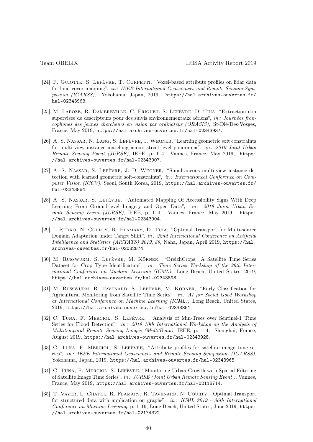- <span id="page-41-0"></span>[24] F. GUIOTTE, S. LEFÈVRE, T. CORPETTI, "Voxel-based attribute profiles on lidar data for land cover mapping", in : IEEE International Geosciences and Remote Sensing Symposium (IGARSS), Yokohama, Japan, 2019, https://hal.archives-ouvertes.fr/ hal-02343963.
- <span id="page-41-8"></span>[25] M. Laroze, R. Dambreville, C. Friguet, S. Lefèvre, D. Tuia, "Extraction non supervisée de descripteurs pour des suivis environnementaux aériens", in : Journées francophones des jeunes chercheurs en vision par ordinateur (ORASIS), St-Dié-Des-Vosges, France, May 2019, https://hal.archives-ouvertes.fr/hal-02343937.
- <span id="page-41-4"></span>[26] A. S. Nassar, N. Lang, S. Lefèvre, J. Wegner, "Learning geometric soft constraints for multi-view instance matching across street-level panoramas", in: 2019 Joint Urban Remote Sensing Event (JURSE), IEEE, p. 1–4, Vannes, France, May 2019, https: //hal.archives-ouvertes.fr/hal-02343907.
- <span id="page-41-5"></span>[27] A. S. Nassar, S. Lefèvre, J. D. Wegner, "Simultaneous multi-view instance detection with learned geometric soft-constraints", in : Internationcal Conference on Computer Vision (ICCV), Seoul, South Korea, 2019, https://hal.archives-ouvertes.fr/ hal-02343884.
- <span id="page-41-6"></span>[28] A. S. Nassar, S. Lefèvre, "Automated Mapping Of Accessibility Signs With Deep Learning From Ground-level Imagery and Open Data", in: 2019 Joint Urban Remote Sensing Event (JURSE), IEEE, p. 1–4, Vannes, France, May 2019, https: //hal.archives-ouvertes.fr/hal-02343904.
- <span id="page-41-9"></span>[29] I. REDKO, N. COURTY, R. FLAMARY, D. TUIA, "Optimal Transport for Multi-source Domain Adaptation under Target Shift", in: 22nd International Conference on Artificial Intelligence and Statistics (AISTATS) 2019, 89, Naha, Japan, April 2019, https://hal. archives-ouvertes.fr/hal-02082874.
- [30] M. Rußwurm, S. Lefèvre, M. Körner, "BreizhCrops: A Satellite Time Series Dataset for Crop Type Identification", in: Time Series Workshop of the 36th International Conference on Machine Learning (ICML), Long Beach, United States, 2019, https://hal.archives-ouvertes.fr/hal-02343898.
- <span id="page-41-7"></span>[31] M. Rußwurm, R. Tavenard, S. Lefèvre, M. Körner, "Early Classification for Agricultural Monitoring from Satellite Time Series", in: AI for Social Good Workshop at International Conference on Machine Learning (ICML), Long Beach, United States, 2019, https://hal.archives-ouvertes.fr/hal-02343851.
- <span id="page-41-2"></span>[32] C. Tuna, F. Merciol, S. Lefèvre, "Analysis of Min-Trees over Sentinel-1 Time Series for Flood Detection", in: 2019 10th International Workshop on the Analysis of Multitemporal Remote Sensing Images (MultiTemp), IEEE, p. 1–4, Shanghai, France, August 2019, https://hal.archives-ouvertes.fr/hal-02343928.
- <span id="page-41-3"></span>[33] C. TUNA, F. MERCIOL, S. LEFÈVRE, "Attribute profiles for satellite image time series", in : IEEE International Geosciences and Remote Sensing Symposium (IGARSS), Yokohama, Japan, 2019, https://hal.archives-ouvertes.fr/hal-02343965.
- <span id="page-41-1"></span>[34] C. TUNA, F. MERCIOL, S. LEFÈVRE, "Monitoring Urban Growth with Spatial Filtering of Satellite Image Time Series", in : JURSE (Joint Urban Remote Sensing Event ), Vannes, France, May 2019, https://hal.archives-ouvertes.fr/hal-02118714.
- <span id="page-41-10"></span>[35] T. Vayer, L. Chapel, R. Flamary, R. Tavenard, N. Courty, "Optimal Transport for structured data with application on graphs", in: ICML 2019 - 36th International Conference on Machine Learning, p. 1–16, Long Beach, United States, June 2019, https: //hal.archives-ouvertes.fr/hal-02174322.